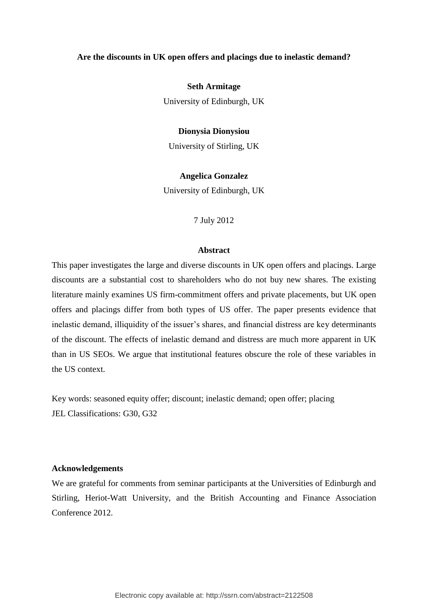### **Are the discounts in UK open offers and placings due to inelastic demand?**

**Seth Armitage**

University of Edinburgh, UK

#### **Dionysia Dionysiou**

University of Stirling, UK

## **Angelica Gonzalez**

University of Edinburgh, UK

#### 7 July 2012

### **Abstract**

This paper investigates the large and diverse discounts in UK open offers and placings. Large discounts are a substantial cost to shareholders who do not buy new shares. The existing literature mainly examines US firm-commitment offers and private placements, but UK open offers and placings differ from both types of US offer. The paper presents evidence that inelastic demand, illiquidity of the issuer's shares, and financial distress are key determinants of the discount. The effects of inelastic demand and distress are much more apparent in UK than in US SEOs. We argue that institutional features obscure the role of these variables in the US context.

Key words: seasoned equity offer; discount; inelastic demand; open offer; placing JEL Classifications: G30, G32

# **Acknowledgements**

We are grateful for comments from seminar participants at the Universities of Edinburgh and Stirling, Heriot-Watt University, and the British Accounting and Finance Association Conference 2012.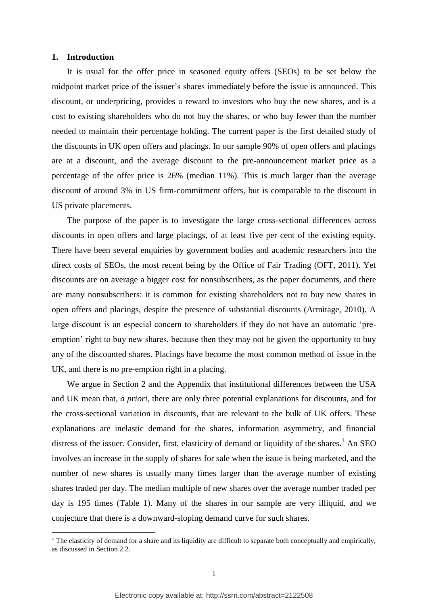#### **1. Introduction**

1

It is usual for the offer price in seasoned equity offers (SEOs) to be set below the midpoint market price of the issuer's shares immediately before the issue is announced. This discount, or underpricing, provides a reward to investors who buy the new shares, and is a cost to existing shareholders who do not buy the shares, or who buy fewer than the number needed to maintain their percentage holding. The current paper is the first detailed study of the discounts in UK open offers and placings. In our sample 90% of open offers and placings are at a discount, and the average discount to the pre-announcement market price as a percentage of the offer price is 26% (median 11%). This is much larger than the average discount of around 3% in US firm-commitment offers, but is comparable to the discount in US private placements.

The purpose of the paper is to investigate the large cross-sectional differences across discounts in open offers and large placings, of at least five per cent of the existing equity. There have been several enquiries by government bodies and academic researchers into the direct costs of SEOs, the most recent being by the Office of Fair Trading (OFT, 2011). Yet discounts are on average a bigger cost for nonsubscribers, as the paper documents, and there are many nonsubscribers: it is common for existing shareholders not to buy new shares in open offers and placings, despite the presence of substantial discounts (Armitage, 2010). A large discount is an especial concern to shareholders if they do not have an automatic 'preemption' right to buy new shares, because then they may not be given the opportunity to buy any of the discounted shares. Placings have become the most common method of issue in the UK, and there is no pre-emption right in a placing.

We argue in Section 2 and the Appendix that institutional differences between the USA and UK mean that, *a priori*, there are only three potential explanations for discounts, and for the cross-sectional variation in discounts, that are relevant to the bulk of UK offers. These explanations are inelastic demand for the shares, information asymmetry, and financial distress of the issuer. Consider, first, elasticity of demand or liquidity of the shares.<sup>1</sup> An SEO involves an increase in the supply of shares for sale when the issue is being marketed, and the number of new shares is usually many times larger than the average number of existing shares traded per day. The median multiple of new shares over the average number traded per day is 195 times (Table 1). Many of the shares in our sample are very illiquid, and we conjecture that there is a downward-sloping demand curve for such shares.

<sup>&</sup>lt;sup>1</sup> The elasticity of demand for a share and its liquidity are difficult to separate both conceptually and empirically, as discussed in Section 2.2.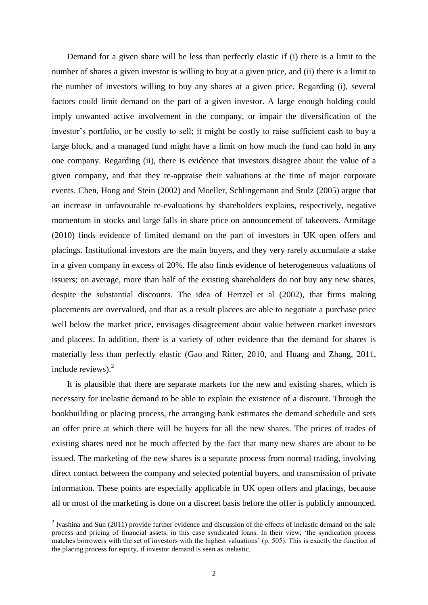Demand for a given share will be less than perfectly elastic if (i) there is a limit to the number of shares a given investor is willing to buy at a given price, and (ii) there is a limit to the number of investors willing to buy any shares at a given price. Regarding (i), several factors could limit demand on the part of a given investor. A large enough holding could imply unwanted active involvement in the company, or impair the diversification of the investor's portfolio, or be costly to sell; it might be costly to raise sufficient cash to buy a large block, and a managed fund might have a limit on how much the fund can hold in any one company. Regarding (ii), there is evidence that investors disagree about the value of a given company, and that they re-appraise their valuations at the time of major corporate events. Chen, Hong and Stein (2002) and Moeller, Schlingemann and Stulz (2005) argue that an increase in unfavourable re-evaluations by shareholders explains, respectively, negative momentum in stocks and large falls in share price on announcement of takeovers. Armitage (2010) finds evidence of limited demand on the part of investors in UK open offers and placings. Institutional investors are the main buyers, and they very rarely accumulate a stake in a given company in excess of 20%. He also finds evidence of heterogeneous valuations of issuers; on average, more than half of the existing shareholders do not buy any new shares, despite the substantial discounts. The idea of Hertzel et al (2002), that firms making placements are overvalued, and that as a result placees are able to negotiate a purchase price well below the market price, envisages disagreement about value between market investors and placees. In addition, there is a variety of other evidence that the demand for shares is materially less than perfectly elastic (Gao and Ritter, 2010, and Huang and Zhang, 2011, include reviews). $2$ 

It is plausible that there are separate markets for the new and existing shares, which is necessary for inelastic demand to be able to explain the existence of a discount. Through the bookbuilding or placing process, the arranging bank estimates the demand schedule and sets an offer price at which there will be buyers for all the new shares. The prices of trades of existing shares need not be much affected by the fact that many new shares are about to be issued. The marketing of the new shares is a separate process from normal trading, involving direct contact between the company and selected potential buyers, and transmission of private information. These points are especially applicable in UK open offers and placings, because all or most of the marketing is done on a discreet basis before the offer is publicly announced.

<sup>&</sup>lt;sup>2</sup> Ivashina and Sun (2011) provide further evidence and discussion of the effects of inelastic demand on the sale process and pricing of financial assets, in this case syndicated loans. In their view, 'the syndication process matches borrowers with the set of investors with the highest valuations' (p. 505). This is exactly the function of the placing process for equity, if investor demand is seen as inelastic.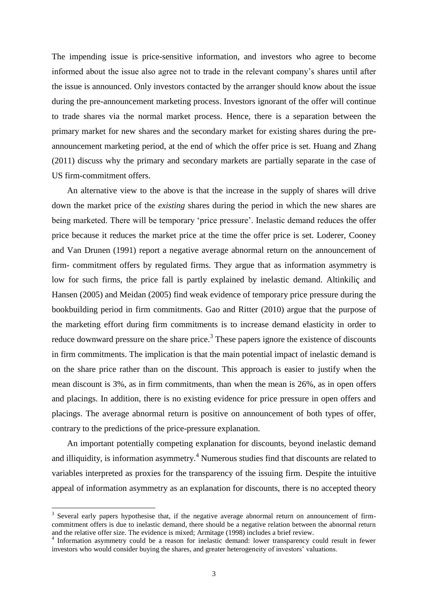The impending issue is price-sensitive information, and investors who agree to become informed about the issue also agree not to trade in the relevant company's shares until after the issue is announced. Only investors contacted by the arranger should know about the issue during the pre-announcement marketing process. Investors ignorant of the offer will continue to trade shares via the normal market process. Hence, there is a separation between the primary market for new shares and the secondary market for existing shares during the preannouncement marketing period, at the end of which the offer price is set. Huang and Zhang (2011) discuss why the primary and secondary markets are partially separate in the case of US firm-commitment offers.

An alternative view to the above is that the increase in the supply of shares will drive down the market price of the *existing* shares during the period in which the new shares are being marketed. There will be temporary 'price pressure'. Inelastic demand reduces the offer price because it reduces the market price at the time the offer price is set. Loderer, Cooney and Van Drunen (1991) report a negative average abnormal return on the announcement of firm- commitment offers by regulated firms. They argue that as information asymmetry is low for such firms, the price fall is partly explained by inelastic demand. Altinkiliç and Hansen (2005) and Meidan (2005) find weak evidence of temporary price pressure during the bookbuilding period in firm commitments. Gao and Ritter (2010) argue that the purpose of the marketing effort during firm commitments is to increase demand elasticity in order to reduce downward pressure on the share price.<sup>3</sup> These papers ignore the existence of discounts in firm commitments. The implication is that the main potential impact of inelastic demand is on the share price rather than on the discount. This approach is easier to justify when the mean discount is 3%, as in firm commitments, than when the mean is 26%, as in open offers and placings. In addition, there is no existing evidence for price pressure in open offers and placings. The average abnormal return is positive on announcement of both types of offer, contrary to the predictions of the price-pressure explanation.

An important potentially competing explanation for discounts, beyond inelastic demand and illiquidity, is information asymmetry.<sup>4</sup> Numerous studies find that discounts are related to variables interpreted as proxies for the transparency of the issuing firm. Despite the intuitive appeal of information asymmetry as an explanation for discounts, there is no accepted theory

<u>.</u>

<sup>&</sup>lt;sup>3</sup> Several early papers hypothesise that, if the negative average abnormal return on announcement of firmcommitment offers is due to inelastic demand, there should be a negative relation between the abnormal return and the relative offer size. The evidence is mixed; Armitage (1998) includes a brief review.

<sup>&</sup>lt;sup>4</sup> Information asymmetry could be a reason for inelastic demand: lower transparency could result in fewer investors who would consider buying the shares, and greater heterogeneity of investors' valuations.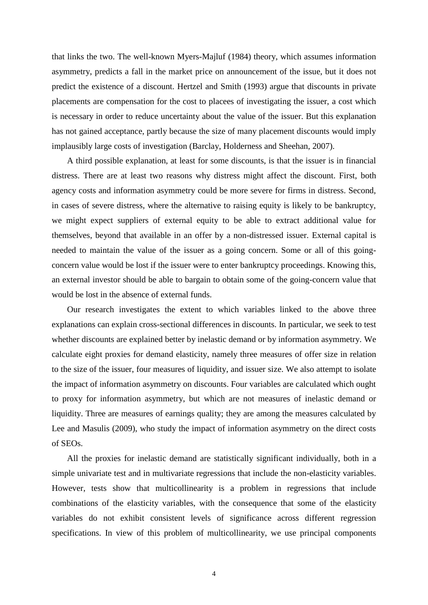that links the two. The well-known Myers-Majluf (1984) theory, which assumes information asymmetry, predicts a fall in the market price on announcement of the issue, but it does not predict the existence of a discount. Hertzel and Smith (1993) argue that discounts in private placements are compensation for the cost to placees of investigating the issuer, a cost which is necessary in order to reduce uncertainty about the value of the issuer. But this explanation has not gained acceptance, partly because the size of many placement discounts would imply implausibly large costs of investigation (Barclay, Holderness and Sheehan, 2007).

A third possible explanation, at least for some discounts, is that the issuer is in financial distress. There are at least two reasons why distress might affect the discount. First, both agency costs and information asymmetry could be more severe for firms in distress. Second, in cases of severe distress, where the alternative to raising equity is likely to be bankruptcy, we might expect suppliers of external equity to be able to extract additional value for themselves, beyond that available in an offer by a non-distressed issuer. External capital is needed to maintain the value of the issuer as a going concern. Some or all of this goingconcern value would be lost if the issuer were to enter bankruptcy proceedings. Knowing this, an external investor should be able to bargain to obtain some of the going-concern value that would be lost in the absence of external funds.

Our research investigates the extent to which variables linked to the above three explanations can explain cross-sectional differences in discounts. In particular, we seek to test whether discounts are explained better by inelastic demand or by information asymmetry. We calculate eight proxies for demand elasticity, namely three measures of offer size in relation to the size of the issuer, four measures of liquidity, and issuer size. We also attempt to isolate the impact of information asymmetry on discounts. Four variables are calculated which ought to proxy for information asymmetry, but which are not measures of inelastic demand or liquidity. Three are measures of earnings quality; they are among the measures calculated by Lee and Masulis (2009), who study the impact of information asymmetry on the direct costs of SEOs.

All the proxies for inelastic demand are statistically significant individually, both in a simple univariate test and in multivariate regressions that include the non-elasticity variables. However, tests show that multicollinearity is a problem in regressions that include combinations of the elasticity variables, with the consequence that some of the elasticity variables do not exhibit consistent levels of significance across different regression specifications. In view of this problem of multicollinearity, we use principal components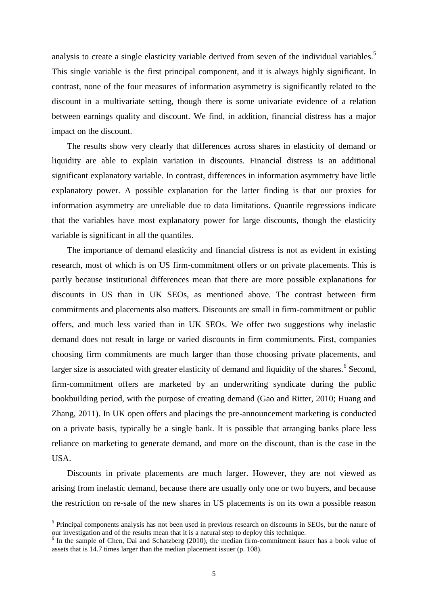analysis to create a single elasticity variable derived from seven of the individual variables.<sup>5</sup> This single variable is the first principal component, and it is always highly significant. In contrast, none of the four measures of information asymmetry is significantly related to the discount in a multivariate setting, though there is some univariate evidence of a relation between earnings quality and discount. We find, in addition, financial distress has a major impact on the discount.

The results show very clearly that differences across shares in elasticity of demand or liquidity are able to explain variation in discounts. Financial distress is an additional significant explanatory variable. In contrast, differences in information asymmetry have little explanatory power. A possible explanation for the latter finding is that our proxies for information asymmetry are unreliable due to data limitations. Quantile regressions indicate that the variables have most explanatory power for large discounts, though the elasticity variable is significant in all the quantiles.

The importance of demand elasticity and financial distress is not as evident in existing research, most of which is on US firm-commitment offers or on private placements. This is partly because institutional differences mean that there are more possible explanations for discounts in US than in UK SEOs, as mentioned above. The contrast between firm commitments and placements also matters. Discounts are small in firm-commitment or public offers, and much less varied than in UK SEOs. We offer two suggestions why inelastic demand does not result in large or varied discounts in firm commitments. First, companies choosing firm commitments are much larger than those choosing private placements, and larger size is associated with greater elasticity of demand and liquidity of the shares.<sup>6</sup> Second, firm-commitment offers are marketed by an underwriting syndicate during the public bookbuilding period, with the purpose of creating demand (Gao and Ritter, 2010; Huang and Zhang, 2011). In UK open offers and placings the pre-announcement marketing is conducted on a private basis, typically be a single bank. It is possible that arranging banks place less reliance on marketing to generate demand, and more on the discount, than is the case in the USA.

Discounts in private placements are much larger. However, they are not viewed as arising from inelastic demand, because there are usually only one or two buyers, and because the restriction on re-sale of the new shares in US placements is on its own a possible reason

<sup>&</sup>lt;sup>5</sup> Principal components analysis has not been used in previous research on discounts in SEOs, but the nature of our investigation and of the results mean that it is a natural step to deploy this technique.

<sup>&</sup>lt;sup>6</sup> In the sample of Chen, Dai and Schatzberg (2010), the median firm-commitment issuer has a book value of assets that is 14.7 times larger than the median placement issuer (p. 108).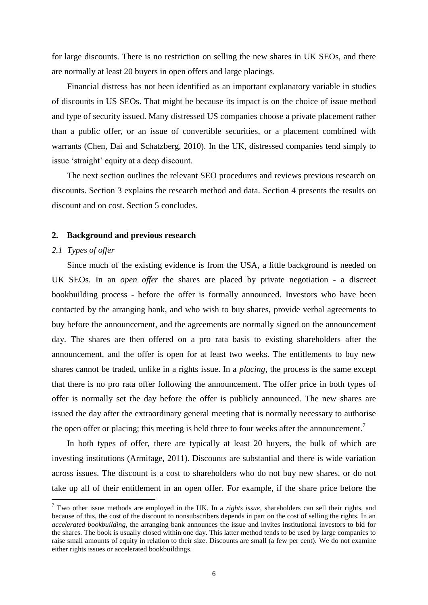for large discounts. There is no restriction on selling the new shares in UK SEOs, and there are normally at least 20 buyers in open offers and large placings.

Financial distress has not been identified as an important explanatory variable in studies of discounts in US SEOs. That might be because its impact is on the choice of issue method and type of security issued. Many distressed US companies choose a private placement rather than a public offer, or an issue of convertible securities, or a placement combined with warrants (Chen, Dai and Schatzberg, 2010). In the UK, distressed companies tend simply to issue 'straight' equity at a deep discount.

The next section outlines the relevant SEO procedures and reviews previous research on discounts. Section 3 explains the research method and data. Section 4 presents the results on discount and on cost. Section 5 concludes.

#### **2. Background and previous research**

### *2.1 Types of offer*

1

Since much of the existing evidence is from the USA, a little background is needed on UK SEOs. In an *open offer* the shares are placed by private negotiation - a discreet bookbuilding process - before the offer is formally announced. Investors who have been contacted by the arranging bank, and who wish to buy shares, provide verbal agreements to buy before the announcement, and the agreements are normally signed on the announcement day. The shares are then offered on a pro rata basis to existing shareholders after the announcement, and the offer is open for at least two weeks. The entitlements to buy new shares cannot be traded, unlike in a rights issue. In a *placing*, the process is the same except that there is no pro rata offer following the announcement. The offer price in both types of offer is normally set the day before the offer is publicly announced. The new shares are issued the day after the extraordinary general meeting that is normally necessary to authorise the open offer or placing; this meeting is held three to four weeks after the announcement.<sup>7</sup>

In both types of offer, there are typically at least 20 buyers, the bulk of which are investing institutions (Armitage, 2011). Discounts are substantial and there is wide variation across issues. The discount is a cost to shareholders who do not buy new shares, or do not take up all of their entitlement in an open offer. For example, if the share price before the

<sup>7</sup> Two other issue methods are employed in the UK. In a *rights issue*, shareholders can sell their rights, and because of this, the cost of the discount to nonsubscribers depends in part on the cost of selling the rights. In an *accelerated bookbuilding*, the arranging bank announces the issue and invites institutional investors to bid for the shares. The book is usually closed within one day. This latter method tends to be used by large companies to raise small amounts of equity in relation to their size. Discounts are small (a few per cent). We do not examine either rights issues or accelerated bookbuildings.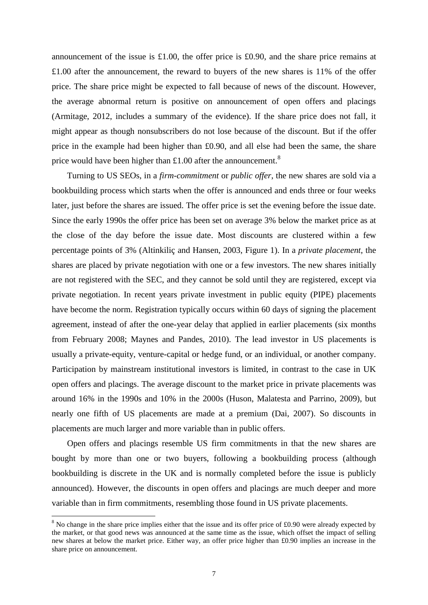announcement of the issue is £1.00, the offer price is £0.90, and the share price remains at £1.00 after the announcement, the reward to buyers of the new shares is 11% of the offer price. The share price might be expected to fall because of news of the discount. However, the average abnormal return is positive on announcement of open offers and placings (Armitage, 2012, includes a summary of the evidence). If the share price does not fall, it might appear as though nonsubscribers do not lose because of the discount. But if the offer price in the example had been higher than £0.90, and all else had been the same, the share price would have been higher than £1.00 after the announcement.<sup>8</sup>

Turning to US SEOs, in a *firm-commitment* or *public offer*, the new shares are sold via a bookbuilding process which starts when the offer is announced and ends three or four weeks later, just before the shares are issued. The offer price is set the evening before the issue date. Since the early 1990s the offer price has been set on average 3% below the market price as at the close of the day before the issue date. Most discounts are clustered within a few percentage points of 3% (Altinkiliç and Hansen, 2003, Figure 1). In a *private placement*, the shares are placed by private negotiation with one or a few investors. The new shares initially are not registered with the SEC, and they cannot be sold until they are registered, except via private negotiation. In recent years private investment in public equity (PIPE) placements have become the norm. Registration typically occurs within 60 days of signing the placement agreement, instead of after the one-year delay that applied in earlier placements (six months from February 2008; Maynes and Pandes, 2010). The lead investor in US placements is usually a private-equity, venture-capital or hedge fund, or an individual, or another company. Participation by mainstream institutional investors is limited, in contrast to the case in UK open offers and placings. The average discount to the market price in private placements was around 16% in the 1990s and 10% in the 2000s (Huson, Malatesta and Parrino, 2009), but nearly one fifth of US placements are made at a premium (Dai, 2007). So discounts in placements are much larger and more variable than in public offers.

Open offers and placings resemble US firm commitments in that the new shares are bought by more than one or two buyers, following a bookbuilding process (although bookbuilding is discrete in the UK and is normally completed before the issue is publicly announced). However, the discounts in open offers and placings are much deeper and more variable than in firm commitments, resembling those found in US private placements.

<sup>&</sup>lt;sup>8</sup> No change in the share price implies either that the issue and its offer price of £0.90 were already expected by the market, or that good news was announced at the same time as the issue, which offset the impact of selling new shares at below the market price. Either way, an offer price higher than £0.90 implies an increase in the share price on announcement.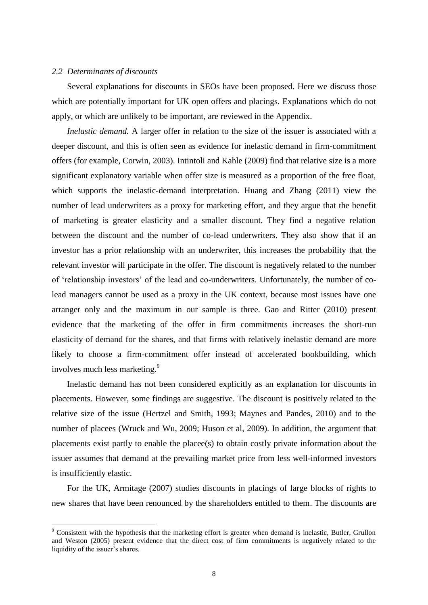#### *2.2 Determinants of discounts*

<u>.</u>

Several explanations for discounts in SEOs have been proposed. Here we discuss those which are potentially important for UK open offers and placings. Explanations which do not apply, or which are unlikely to be important, are reviewed in the Appendix.

*Inelastic demand.* A larger offer in relation to the size of the issuer is associated with a deeper discount, and this is often seen as evidence for inelastic demand in firm-commitment offers (for example, Corwin, 2003). Intintoli and Kahle (2009) find that relative size is a more significant explanatory variable when offer size is measured as a proportion of the free float, which supports the inelastic-demand interpretation. Huang and Zhang (2011) view the number of lead underwriters as a proxy for marketing effort, and they argue that the benefit of marketing is greater elasticity and a smaller discount. They find a negative relation between the discount and the number of co-lead underwriters. They also show that if an investor has a prior relationship with an underwriter, this increases the probability that the relevant investor will participate in the offer. The discount is negatively related to the number of 'relationship investors' of the lead and co-underwriters. Unfortunately, the number of colead managers cannot be used as a proxy in the UK context, because most issues have one arranger only and the maximum in our sample is three. Gao and Ritter (2010) present evidence that the marketing of the offer in firm commitments increases the short-run elasticity of demand for the shares, and that firms with relatively inelastic demand are more likely to choose a firm-commitment offer instead of accelerated bookbuilding, which involves much less marketing.<sup>9</sup>

Inelastic demand has not been considered explicitly as an explanation for discounts in placements. However, some findings are suggestive. The discount is positively related to the relative size of the issue (Hertzel and Smith, 1993; Maynes and Pandes, 2010) and to the number of placees (Wruck and Wu, 2009; Huson et al, 2009). In addition, the argument that placements exist partly to enable the placee(s) to obtain costly private information about the issuer assumes that demand at the prevailing market price from less well-informed investors is insufficiently elastic.

For the UK, Armitage (2007) studies discounts in placings of large blocks of rights to new shares that have been renounced by the shareholders entitled to them. The discounts are

<sup>&</sup>lt;sup>9</sup> Consistent with the hypothesis that the marketing effort is greater when demand is inelastic, Butler, Grullon and Weston (2005) present evidence that the direct cost of firm commitments is negatively related to the liquidity of the issuer's shares.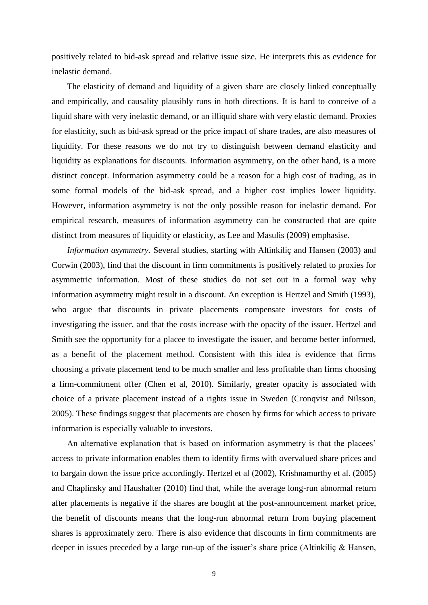positively related to bid-ask spread and relative issue size. He interprets this as evidence for inelastic demand.

The elasticity of demand and liquidity of a given share are closely linked conceptually and empirically, and causality plausibly runs in both directions. It is hard to conceive of a liquid share with very inelastic demand, or an illiquid share with very elastic demand. Proxies for elasticity, such as bid-ask spread or the price impact of share trades, are also measures of liquidity. For these reasons we do not try to distinguish between demand elasticity and liquidity as explanations for discounts. Information asymmetry, on the other hand, is a more distinct concept. Information asymmetry could be a reason for a high cost of trading, as in some formal models of the bid-ask spread, and a higher cost implies lower liquidity. However, information asymmetry is not the only possible reason for inelastic demand. For empirical research, measures of information asymmetry can be constructed that are quite distinct from measures of liquidity or elasticity, as Lee and Masulis (2009) emphasise.

*Information asymmetry.* Several studies, starting with Altinkiliç and Hansen (2003) and Corwin (2003), find that the discount in firm commitments is positively related to proxies for asymmetric information. Most of these studies do not set out in a formal way why information asymmetry might result in a discount. An exception is Hertzel and Smith (1993), who argue that discounts in private placements compensate investors for costs of investigating the issuer, and that the costs increase with the opacity of the issuer. Hertzel and Smith see the opportunity for a placee to investigate the issuer, and become better informed, as a benefit of the placement method. Consistent with this idea is evidence that firms choosing a private placement tend to be much smaller and less profitable than firms choosing a firm-commitment offer (Chen et al, 2010). Similarly, greater opacity is associated with choice of a private placement instead of a rights issue in Sweden (Cronqvist and Nilsson, 2005). These findings suggest that placements are chosen by firms for which access to private information is especially valuable to investors.

An alternative explanation that is based on information asymmetry is that the placees' access to private information enables them to identify firms with overvalued share prices and to bargain down the issue price accordingly. Hertzel et al (2002), Krishnamurthy et al. (2005) and Chaplinsky and Haushalter (2010) find that, while the average long-run abnormal return after placements is negative if the shares are bought at the post-announcement market price, the benefit of discounts means that the long-run abnormal return from buying placement shares is approximately zero. There is also evidence that discounts in firm commitments are deeper in issues preceded by a large run-up of the issuer's share price (Altinkiliç & Hansen,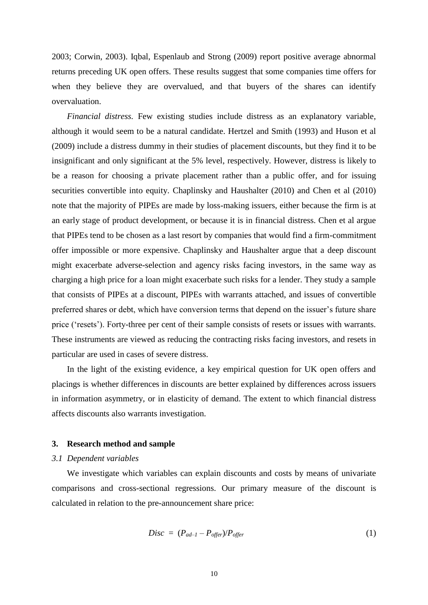2003; Corwin, 2003). Iqbal, Espenlaub and Strong (2009) report positive average abnormal returns preceding UK open offers. These results suggest that some companies time offers for when they believe they are overvalued, and that buyers of the shares can identify overvaluation.

*Financial distress.* Few existing studies include distress as an explanatory variable, although it would seem to be a natural candidate. Hertzel and Smith (1993) and Huson et al (2009) include a distress dummy in their studies of placement discounts, but they find it to be insignificant and only significant at the 5% level, respectively. However, distress is likely to be a reason for choosing a private placement rather than a public offer, and for issuing securities convertible into equity. Chaplinsky and Haushalter (2010) and Chen et al (2010) note that the majority of PIPEs are made by loss-making issuers, either because the firm is at an early stage of product development, or because it is in financial distress. Chen et al argue that PIPEs tend to be chosen as a last resort by companies that would find a firm-commitment offer impossible or more expensive. Chaplinsky and Haushalter argue that a deep discount might exacerbate adverse-selection and agency risks facing investors, in the same way as charging a high price for a loan might exacerbate such risks for a lender. They study a sample that consists of PIPEs at a discount, PIPEs with warrants attached, and issues of convertible preferred shares or debt, which have conversion terms that depend on the issuer's future share price ('resets'). Forty-three per cent of their sample consists of resets or issues with warrants. These instruments are viewed as reducing the contracting risks facing investors, and resets in particular are used in cases of severe distress.

In the light of the existing evidence, a key empirical question for UK open offers and placings is whether differences in discounts are better explained by differences across issuers in information asymmetry, or in elasticity of demand. The extent to which financial distress affects discounts also warrants investigation.

#### **3. Research method and sample**

#### *3.1 Dependent variables*

We investigate which variables can explain discounts and costs by means of univariate comparisons and cross-sectional regressions. Our primary measure of the discount is calculated in relation to the pre-announcement share price:

$$
Disc = (P_{ad-1} - P_{offer})/P_{offer}
$$
 (1)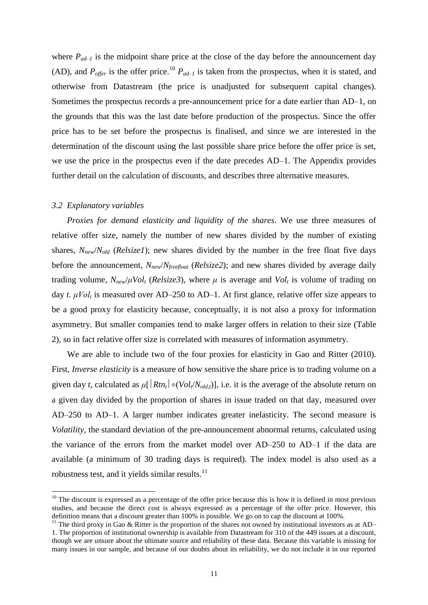where  $P_{ad-1}$  is the midpoint share price at the close of the day before the announcement day (AD), and  $P_{\text{offer}}$  is the offer price.<sup>10</sup>  $P_{ad-1}$  is taken from the prospectus, when it is stated, and otherwise from Datastream (the price is unadjusted for subsequent capital changes). Sometimes the prospectus records a pre-announcement price for a date earlier than AD–1, on the grounds that this was the last date before production of the prospectus. Since the offer price has to be set before the prospectus is finalised, and since we are interested in the determination of the discount using the last possible share price before the offer price is set, we use the price in the prospectus even if the date precedes AD–1. The Appendix provides further detail on the calculation of discounts, and describes three alternative measures.

### *3.2 Explanatory variables*

1

*Proxies for demand elasticity and liquidity of the shares*. We use three measures of relative offer size, namely the number of new shares divided by the number of existing shares, *Nnew*/*Nold* (*Relsize1*); new shares divided by the number in the free float five days before the announcement, *Nnew*/*Nfreefloat* (*Relsize2*); and new shares divided by average daily trading volume,  $N_{new}/\mu Vol$ <sub>t</sub> (*Relsize3*), where  $\mu$  is average and  $Vol$ <sub>t</sub> is volume of trading on day *t*. *μVol<sup>t</sup>* is measured over AD–250 to AD–1. At first glance, relative offer size appears to be a good proxy for elasticity because, conceptually, it is not also a proxy for information asymmetry. But smaller companies tend to make larger offers in relation to their size (Table 2), so in fact relative offer size is correlated with measures of information asymmetry.

We are able to include two of the four proxies for elasticity in Gao and Ritter (2010). First, *Inverse elasticity* is a measure of how sensitive the share price is to trading volume on a given day *t*, calculated as  $\mu$ [ $Rtn_t$ ] $\div$ ( $Vol/N_{old}$ )], i.e. it is the average of the absolute return on a given day divided by the proportion of shares in issue traded on that day, measured over AD–250 to AD–1. A larger number indicates greater inelasticity. The second measure is *Volatility*, the standard deviation of the pre-announcement abnormal returns, calculated using the variance of the errors from the market model over AD–250 to AD–1 if the data are available (a minimum of 30 trading days is required). The index model is also used as a robustness test, and it yields similar results.<sup>11</sup>

 $10$  The discount is expressed as a percentage of the offer price because this is how it is defined in most previous studies, and because the direct cost is always expressed as a percentage of the offer price. However, this definition means that a discount greater than 100% is possible. We go on to cap the discount at 100%.

<sup>&</sup>lt;sup>11</sup> The third proxy in Gao & Ritter is the proportion of the shares not owned by institutional investors as at AD– 1. The proportion of institutional ownership is available from Datastream for 310 of the 449 issues at a discount, though we are unsure about the ultimate source and reliability of these data. Because this variable is missing for many issues in our sample, and because of our doubts about its reliability, we do not include it in our reported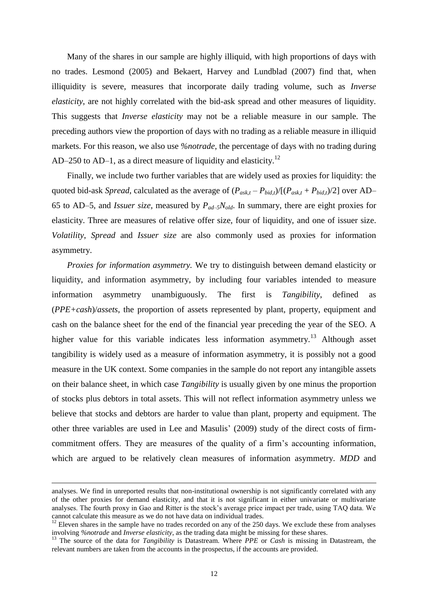Many of the shares in our sample are highly illiquid, with high proportions of days with no trades. Lesmond (2005) and Bekaert, Harvey and Lundblad (2007) find that, when illiquidity is severe, measures that incorporate daily trading volume, such as *Inverse elasticity*, are not highly correlated with the bid-ask spread and other measures of liquidity. This suggests that *Inverse elasticity* may not be a reliable measure in our sample. The preceding authors view the proportion of days with no trading as a reliable measure in illiquid markets. For this reason, we also use *%notrade*, the percentage of days with no trading during AD–250 to AD–1, as a direct measure of liquidity and elasticity.<sup>12</sup>

Finally, we include two further variables that are widely used as proxies for liquidity: the quoted bid-ask *Spread*, calculated as the average of  $(P_{ask,t} - P_{bid,t})/[(P_{ask,t} + P_{bid,t})/2]$  over AD– 65 to AD–5, and *Issuer size*, measured by *Pad–5Nold*. In summary, there are eight proxies for elasticity. Three are measures of relative offer size, four of liquidity, and one of issuer size. *Volatility*, *Spread* and *Issuer size* are also commonly used as proxies for information asymmetry.

*Proxies for information asymmetry.* We try to distinguish between demand elasticity or liquidity, and information asymmetry, by including four variables intended to measure information asymmetry unambiguously. The first is *Tangibility*, defined as (*PPE+cash*)/*assets*, the proportion of assets represented by plant, property, equipment and cash on the balance sheet for the end of the financial year preceding the year of the SEO. A higher value for this variable indicates less information asymmetry.<sup>13</sup> Although asset tangibility is widely used as a measure of information asymmetry, it is possibly not a good measure in the UK context. Some companies in the sample do not report any intangible assets on their balance sheet, in which case *Tangibility* is usually given by one minus the proportion of stocks plus debtors in total assets. This will not reflect information asymmetry unless we believe that stocks and debtors are harder to value than plant, property and equipment. The other three variables are used in Lee and Masulis' (2009) study of the direct costs of firmcommitment offers. They are measures of the quality of a firm's accounting information, which are argued to be relatively clean measures of information asymmetry. *MDD* and

analyses. We find in unreported results that non-institutional ownership is not significantly correlated with any of the other proxies for demand elasticity, and that it is not significant in either univariate or multivariate analyses. The fourth proxy in Gao and Ritter is the stock's average price impact per trade, using TAQ data. We cannot calculate this measure as we do not have data on individual trades.

 $12$  Eleven shares in the sample have no trades recorded on any of the 250 days. We exclude these from analyses involving *%notrade* and *Inverse elasticity*, as the trading data might be missing for these shares.

<sup>&</sup>lt;sup>13</sup> The source of the data for *Tangibility* is Datastream. Where *PPE* or *Cash* is missing in Datastream, the relevant numbers are taken from the accounts in the prospectus, if the accounts are provided.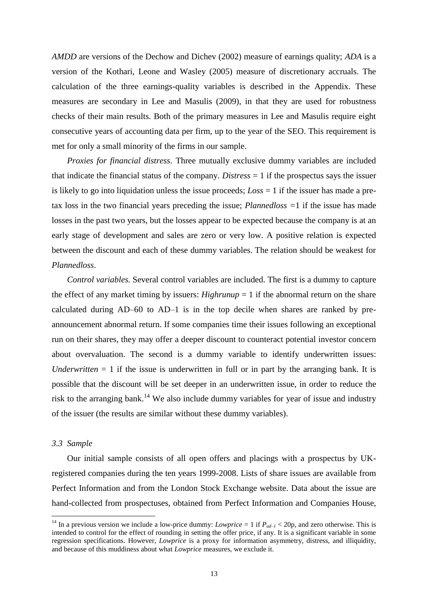*AMDD* are versions of the Dechow and Dichev (2002) measure of earnings quality; *ADA* is a version of the Kothari, Leone and Wasley (2005) measure of discretionary accruals. The calculation of the three earnings-quality variables is described in the Appendix. These measures are secondary in Lee and Masulis (2009), in that they are used for robustness checks of their main results. Both of the primary measures in Lee and Masulis require eight consecutive years of accounting data per firm, up to the year of the SEO. This requirement is met for only a small minority of the firms in our sample.

*Proxies for financial distress*. Three mutually exclusive dummy variables are included that indicate the financial status of the company. *Distress* = 1 if the prospectus says the issuer is likely to go into liquidation unless the issue proceeds; *Loss* = 1 if the issuer has made a pretax loss in the two financial years preceding the issue; *Plannedloss =*1 if the issue has made losses in the past two years, but the losses appear to be expected because the company is at an early stage of development and sales are zero or very low. A positive relation is expected between the discount and each of these dummy variables. The relation should be weakest for *Plannedloss*.

*Control variables.* Several control variables are included. The first is a dummy to capture the effect of any market timing by issuers:  $Highrunup = 1$  if the abnormal return on the share calculated during AD–60 to AD–1 is in the top decile when shares are ranked by preannouncement abnormal return. If some companies time their issues following an exceptional run on their shares, they may offer a deeper discount to counteract potential investor concern about overvaluation. The second is a dummy variable to identify underwritten issues: *Underwritten*  $= 1$  if the issue is underwritten in full or in part by the arranging bank. It is possible that the discount will be set deeper in an underwritten issue, in order to reduce the risk to the arranging bank.<sup>14</sup> We also include dummy variables for year of issue and industry of the issuer (the results are similar without these dummy variables).

### *3.3 Sample*

1

Our initial sample consists of all open offers and placings with a prospectus by UKregistered companies during the ten years 1999-2008. Lists of share issues are available from Perfect Information and from the London Stock Exchange website. Data about the issue are hand-collected from prospectuses, obtained from Perfect Information and Companies House,

<sup>&</sup>lt;sup>14</sup> In a previous version we include a low-price dummy: *Lowprice* = 1 if  $P_{ad-1}$  < 20p, and zero otherwise. This is intended to control for the effect of rounding in setting the offer price, if any. It is a significant variable in some regression specifications. However, *Lowprice* is a proxy for information asymmetry, distress, and illiquidity, and because of this muddiness about what *Lowprice* measures, we exclude it.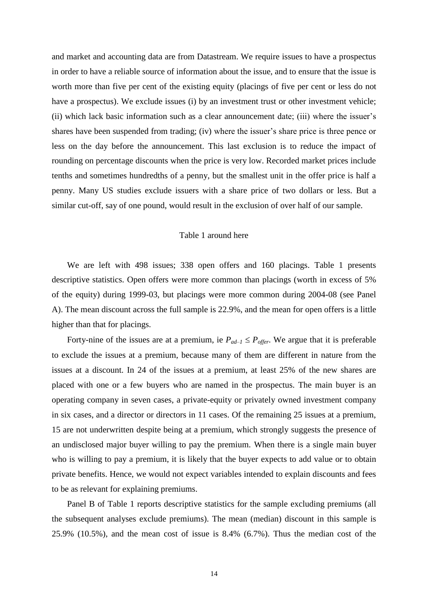and market and accounting data are from Datastream. We require issues to have a prospectus in order to have a reliable source of information about the issue, and to ensure that the issue is worth more than five per cent of the existing equity (placings of five per cent or less do not have a prospectus). We exclude issues (i) by an investment trust or other investment vehicle; (ii) which lack basic information such as a clear announcement date; (iii) where the issuer's shares have been suspended from trading; (iv) where the issuer's share price is three pence or less on the day before the announcement. This last exclusion is to reduce the impact of rounding on percentage discounts when the price is very low. Recorded market prices include tenths and sometimes hundredths of a penny, but the smallest unit in the offer price is half a penny. Many US studies exclude issuers with a share price of two dollars or less. But a similar cut-off, say of one pound, would result in the exclusion of over half of our sample.

### Table 1 around here

We are left with 498 issues; 338 open offers and 160 placings. Table 1 presents descriptive statistics. Open offers were more common than placings (worth in excess of 5% of the equity) during 1999-03, but placings were more common during 2004-08 (see Panel A). The mean discount across the full sample is 22.9%, and the mean for open offers is a little higher than that for placings.

Forty-nine of the issues are at a premium, ie  $P_{ad-1} \leq P_{offer}$ . We argue that it is preferable to exclude the issues at a premium, because many of them are different in nature from the issues at a discount. In 24 of the issues at a premium, at least 25% of the new shares are placed with one or a few buyers who are named in the prospectus. The main buyer is an operating company in seven cases, a private-equity or privately owned investment company in six cases, and a director or directors in 11 cases. Of the remaining 25 issues at a premium, 15 are not underwritten despite being at a premium, which strongly suggests the presence of an undisclosed major buyer willing to pay the premium. When there is a single main buyer who is willing to pay a premium, it is likely that the buyer expects to add value or to obtain private benefits. Hence, we would not expect variables intended to explain discounts and fees to be as relevant for explaining premiums.

Panel B of Table 1 reports descriptive statistics for the sample excluding premiums (all the subsequent analyses exclude premiums). The mean (median) discount in this sample is 25.9% (10.5%), and the mean cost of issue is 8.4% (6.7%). Thus the median cost of the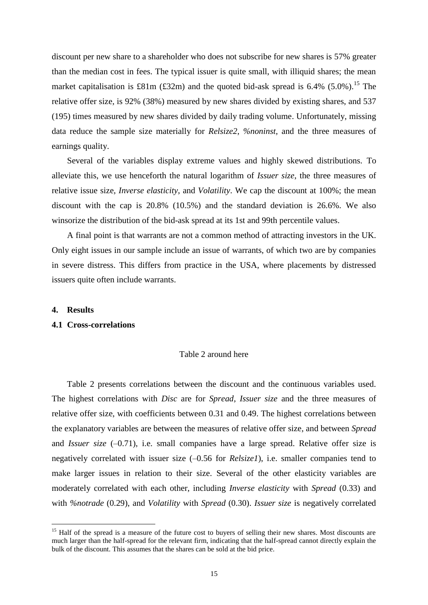discount per new share to a shareholder who does not subscribe for new shares is 57% greater than the median cost in fees. The typical issuer is quite small, with illiquid shares; the mean market capitalisation is £81m (£32m) and the quoted bid-ask spread is  $6.4\%$  (5.0%).<sup>15</sup> The relative offer size, is 92% (38%) measured by new shares divided by existing shares, and 537 (195) times measured by new shares divided by daily trading volume. Unfortunately, missing data reduce the sample size materially for *Relsize2*, *%noninst*, and the three measures of earnings quality.

Several of the variables display extreme values and highly skewed distributions. To alleviate this, we use henceforth the natural logarithm of *Issuer size*, the three measures of relative issue size, *Inverse elasticity*, and *Volatility*. We cap the discount at 100%; the mean discount with the cap is 20.8% (10.5%) and the standard deviation is 26.6%. We also winsorize the distribution of the bid-ask spread at its 1st and 99th percentile values.

A final point is that warrants are not a common method of attracting investors in the UK. Only eight issues in our sample include an issue of warrants, of which two are by companies in severe distress. This differs from practice in the USA, where placements by distressed issuers quite often include warrants.

#### **4. Results**

<u>.</u>

#### **4.1 Cross-correlations**

#### Table 2 around here

Table 2 presents correlations between the discount and the continuous variables used. The highest correlations with *Disc* are for *Spread*, *Issuer size* and the three measures of relative offer size, with coefficients between 0.31 and 0.49. The highest correlations between the explanatory variables are between the measures of relative offer size, and between *Spread* and *Issuer size* (–0.71), i.e. small companies have a large spread. Relative offer size is negatively correlated with issuer size (–0.56 for *Relsize1*), i.e. smaller companies tend to make larger issues in relation to their size. Several of the other elasticity variables are moderately correlated with each other, including *Inverse elasticity* with *Spread* (0.33) and with *%notrade* (0.29), and *Volatility* with *Spread* (0.30). *Issuer size* is negatively correlated

<sup>&</sup>lt;sup>15</sup> Half of the spread is a measure of the future cost to buyers of selling their new shares. Most discounts are much larger than the half-spread for the relevant firm, indicating that the half-spread cannot directly explain the bulk of the discount. This assumes that the shares can be sold at the bid price.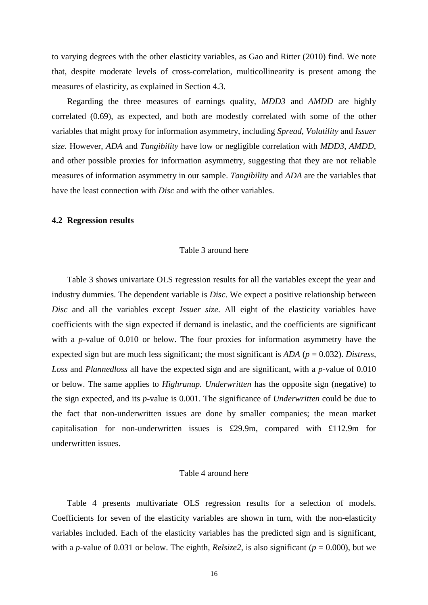to varying degrees with the other elasticity variables, as Gao and Ritter (2010) find. We note that, despite moderate levels of cross-correlation, multicollinearity is present among the measures of elasticity, as explained in Section 4.3.

Regarding the three measures of earnings quality, *MDD3* and *AMDD* are highly correlated (0.69), as expected, and both are modestly correlated with some of the other variables that might proxy for information asymmetry, including *Spread*, *Volatility* and *Issuer size.* However, *ADA* and *Tangibility* have low or negligible correlation with *MDD3*, *AMDD*, and other possible proxies for information asymmetry, suggesting that they are not reliable measures of information asymmetry in our sample. *Tangibility* and *ADA* are the variables that have the least connection with *Disc* and with the other variables.

### **4.2 Regression results**

### Table 3 around here

Table 3 shows univariate OLS regression results for all the variables except the year and industry dummies. The dependent variable is *Disc*. We expect a positive relationship between *Disc* and all the variables except *Issuer size*. All eight of the elasticity variables have coefficients with the sign expected if demand is inelastic, and the coefficients are significant with a *p*-value of 0.010 or below. The four proxies for information asymmetry have the expected sign but are much less significant; the most significant is *ADA* (*p* = 0.032). *Distress*, *Loss* and *Plannedloss* all have the expected sign and are significant, with a *p*-value of 0.010 or below. The same applies to *Highrunup. Underwritten* has the opposite sign (negative) to the sign expected, and its *p*-value is 0.001. The significance of *Underwritten* could be due to the fact that non-underwritten issues are done by smaller companies; the mean market capitalisation for non-underwritten issues is £29.9m, compared with £112.9m for underwritten issues.

#### Table 4 around here

Table 4 presents multivariate OLS regression results for a selection of models. Coefficients for seven of the elasticity variables are shown in turn, with the non-elasticity variables included. Each of the elasticity variables has the predicted sign and is significant, with a *p*-value of 0.031 or below. The eighth, *Relsize2*, is also significant ( $p = 0.000$ ), but we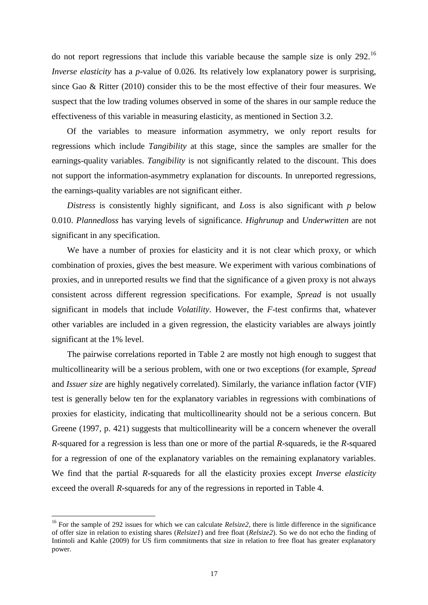do not report regressions that include this variable because the sample size is only 292.<sup>16</sup> *Inverse elasticity* has a *p*-value of 0.026. Its relatively low explanatory power is surprising, since Gao & Ritter (2010) consider this to be the most effective of their four measures. We suspect that the low trading volumes observed in some of the shares in our sample reduce the effectiveness of this variable in measuring elasticity, as mentioned in Section 3.2.

Of the variables to measure information asymmetry, we only report results for regressions which include *Tangibility* at this stage, since the samples are smaller for the earnings-quality variables. *Tangibility* is not significantly related to the discount. This does not support the information-asymmetry explanation for discounts. In unreported regressions, the earnings-quality variables are not significant either.

*Distress* is consistently highly significant, and *Loss* is also significant with *p* below 0.010. *Plannedloss* has varying levels of significance. *Highrunup* and *Underwritten* are not significant in any specification.

We have a number of proxies for elasticity and it is not clear which proxy, or which combination of proxies, gives the best measure. We experiment with various combinations of proxies, and in unreported results we find that the significance of a given proxy is not always consistent across different regression specifications. For example, *Spread* is not usually significant in models that include *Volatility*. However, the *F*-test confirms that, whatever other variables are included in a given regression, the elasticity variables are always jointly significant at the 1% level.

The pairwise correlations reported in Table 2 are mostly not high enough to suggest that multicollinearity will be a serious problem, with one or two exceptions (for example, *Spread* and *Issuer size* are highly negatively correlated). Similarly, the variance inflation factor (VIF) test is generally below ten for the explanatory variables in regressions with combinations of proxies for elasticity, indicating that multicollinearity should not be a serious concern. But Greene (1997, p. 421) suggests that multicollinearity will be a concern whenever the overall *R*-squared for a regression is less than one or more of the partial *R*-squareds, ie the *R*-squared for a regression of one of the explanatory variables on the remaining explanatory variables. We find that the partial *R*-squareds for all the elasticity proxies except *Inverse elasticity* exceed the overall *R*-squareds for any of the regressions in reported in Table 4.

<sup>&</sup>lt;sup>16</sup> For the sample of 292 issues for which we can calculate *Relsize* 2, there is little difference in the significance of offer size in relation to existing shares (*Relsize1*) and free float (*Relsize2*). So we do not echo the finding of Intintoli and Kahle (2009) for US firm commitments that size in relation to free float has greater explanatory power.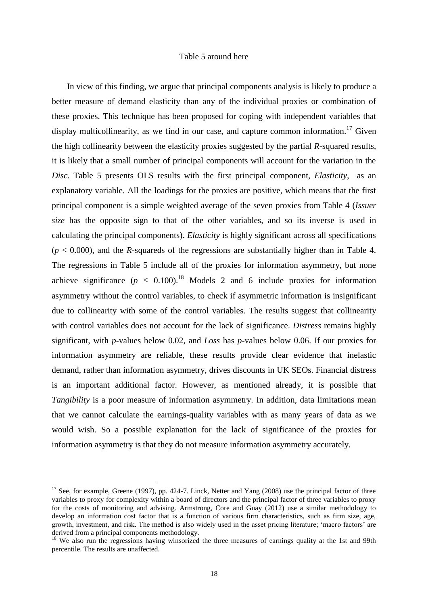### Table 5 around here

In view of this finding, we argue that principal components analysis is likely to produce a better measure of demand elasticity than any of the individual proxies or combination of these proxies. This technique has been proposed for coping with independent variables that display multicollinearity, as we find in our case, and capture common information.<sup>17</sup> Given the high collinearity between the elasticity proxies suggested by the partial *R*-squared results, it is likely that a small number of principal components will account for the variation in the *Disc*. Table 5 presents OLS results with the first principal component, *Elasticity*, as an explanatory variable. All the loadings for the proxies are positive, which means that the first principal component is a simple weighted average of the seven proxies from Table 4 (*Issuer size* has the opposite sign to that of the other variables, and so its inverse is used in calculating the principal components). *Elasticity* is highly significant across all specifications  $(p < 0.000)$ , and the *R*-squareds of the regressions are substantially higher than in Table 4. The regressions in Table 5 include all of the proxies for information asymmetry, but none achieve significance ( $p \leq 0.100$ ).<sup>18</sup> Models 2 and 6 include proxies for information asymmetry without the control variables, to check if asymmetric information is insignificant due to collinearity with some of the control variables. The results suggest that collinearity with control variables does not account for the lack of significance. *Distress* remains highly significant, with *p-*values below 0.02, and *Loss* has *p-*values below 0.06. If our proxies for information asymmetry are reliable, these results provide clear evidence that inelastic demand, rather than information asymmetry, drives discounts in UK SEOs. Financial distress is an important additional factor. However, as mentioned already, it is possible that *Tangibility* is a poor measure of information asymmetry. In addition, data limitations mean that we cannot calculate the earnings-quality variables with as many years of data as we would wish. So a possible explanation for the lack of significance of the proxies for information asymmetry is that they do not measure information asymmetry accurately.

 $17$  See, for example, Greene (1997), pp. 424-7. Linck, Netter and Yang (2008) use the principal factor of three variables to proxy for complexity within a board of directors and the principal factor of three variables to proxy for the costs of monitoring and advising. Armstrong, Core and Guay (2012) use a similar methodology to develop an information cost factor that is a function of various firm characteristics, such as firm size, age, growth, investment, and risk. The method is also widely used in the asset pricing literature; 'macro factors' are derived from a principal components methodology.

<sup>&</sup>lt;sup>18</sup> We also run the regressions having winsorized the three measures of earnings quality at the 1st and 99th percentile. The results are unaffected.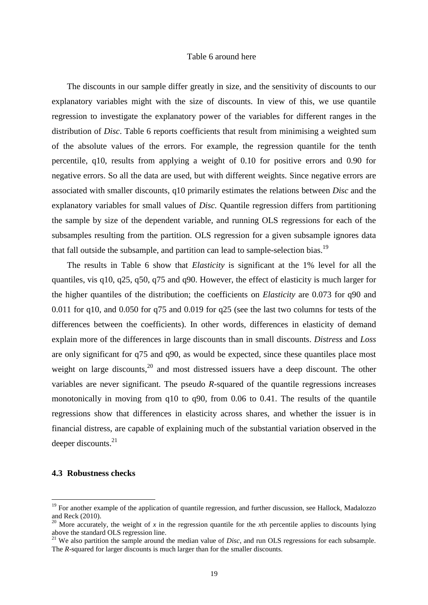#### Table 6 around here

The discounts in our sample differ greatly in size, and the sensitivity of discounts to our explanatory variables might with the size of discounts. In view of this, we use quantile regression to investigate the explanatory power of the variables for different ranges in the distribution of *Disc*. Table 6 reports coefficients that result from minimising a weighted sum of the absolute values of the errors. For example, the regression quantile for the tenth percentile, q10, results from applying a weight of 0.10 for positive errors and 0.90 for negative errors. So all the data are used, but with different weights. Since negative errors are associated with smaller discounts, q10 primarily estimates the relations between *Disc* and the explanatory variables for small values of *Disc.* Quantile regression differs from partitioning the sample by size of the dependent variable, and running OLS regressions for each of the subsamples resulting from the partition. OLS regression for a given subsample ignores data that fall outside the subsample, and partition can lead to sample-selection bias.<sup>19</sup>

The results in Table 6 show that *Elasticity* is significant at the 1% level for all the quantiles, vis q10, q25, q50, q75 and q90. However, the effect of elasticity is much larger for the higher quantiles of the distribution; the coefficients on *Elasticity* are 0.073 for q90 and 0.011 for q10, and 0.050 for q75 and 0.019 for q25 (see the last two columns for tests of the differences between the coefficients). In other words, differences in elasticity of demand explain more of the differences in large discounts than in small discounts. *Distress* and *Loss* are only significant for q75 and q90, as would be expected, since these quantiles place most weight on large discounts,  $20$  and most distressed issuers have a deep discount. The other variables are never significant. The pseudo *R*-squared of the quantile regressions increases monotonically in moving from q10 to q90, from 0.06 to 0.41. The results of the quantile regressions show that differences in elasticity across shares, and whether the issuer is in financial distress, are capable of explaining much of the substantial variation observed in the deeper discounts. $^{21}$ 

#### **4.3 Robustness checks**

<sup>&</sup>lt;sup>19</sup> For another example of the application of quantile regression, and further discussion, see Hallock, Madalozzo and Reck (2010).

<sup>&</sup>lt;sup>20</sup> More accurately, the weight of  $x$  in the regression quantile for the  $x$ th percentile applies to discounts lying above the standard OLS regression line.

<sup>&</sup>lt;sup>21</sup> We also partition the sample around the median value of *Disc*, and run OLS regressions for each subsample. The *R*-squared for larger discounts is much larger than for the smaller discounts.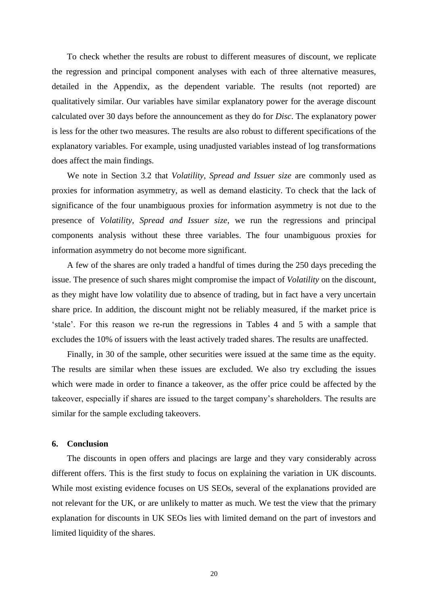To check whether the results are robust to different measures of discount, we replicate the regression and principal component analyses with each of three alternative measures, detailed in the Appendix, as the dependent variable. The results (not reported) are qualitatively similar. Our variables have similar explanatory power for the average discount calculated over 30 days before the announcement as they do for *Disc*. The explanatory power is less for the other two measures. The results are also robust to different specifications of the explanatory variables. For example, using unadjusted variables instead of log transformations does affect the main findings.

We note in Section 3.2 that *Volatility*, *Spread and Issuer size* are commonly used as proxies for information asymmetry, as well as demand elasticity. To check that the lack of significance of the four unambiguous proxies for information asymmetry is not due to the presence of *Volatility*, *Spread and Issuer size*, we run the regressions and principal components analysis without these three variables. The four unambiguous proxies for information asymmetry do not become more significant.

A few of the shares are only traded a handful of times during the 250 days preceding the issue. The presence of such shares might compromise the impact of *Volatility* on the discount, as they might have low volatility due to absence of trading, but in fact have a very uncertain share price. In addition, the discount might not be reliably measured, if the market price is 'stale'. For this reason we re-run the regressions in Tables 4 and 5 with a sample that excludes the 10% of issuers with the least actively traded shares. The results are unaffected.

Finally, in 30 of the sample, other securities were issued at the same time as the equity. The results are similar when these issues are excluded. We also try excluding the issues which were made in order to finance a takeover, as the offer price could be affected by the takeover, especially if shares are issued to the target company's shareholders. The results are similar for the sample excluding takeovers.

## **6. Conclusion**

The discounts in open offers and placings are large and they vary considerably across different offers. This is the first study to focus on explaining the variation in UK discounts. While most existing evidence focuses on US SEOs, several of the explanations provided are not relevant for the UK, or are unlikely to matter as much. We test the view that the primary explanation for discounts in UK SEOs lies with limited demand on the part of investors and limited liquidity of the shares.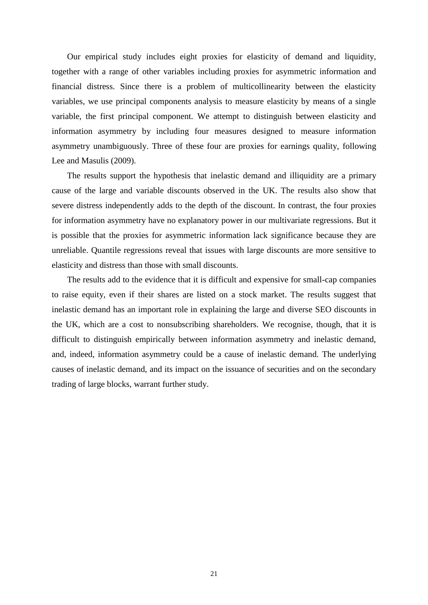Our empirical study includes eight proxies for elasticity of demand and liquidity, together with a range of other variables including proxies for asymmetric information and financial distress. Since there is a problem of multicollinearity between the elasticity variables, we use principal components analysis to measure elasticity by means of a single variable, the first principal component. We attempt to distinguish between elasticity and information asymmetry by including four measures designed to measure information asymmetry unambiguously. Three of these four are proxies for earnings quality, following Lee and Masulis (2009).

The results support the hypothesis that inelastic demand and illiquidity are a primary cause of the large and variable discounts observed in the UK. The results also show that severe distress independently adds to the depth of the discount. In contrast, the four proxies for information asymmetry have no explanatory power in our multivariate regressions. But it is possible that the proxies for asymmetric information lack significance because they are unreliable. Quantile regressions reveal that issues with large discounts are more sensitive to elasticity and distress than those with small discounts.

The results add to the evidence that it is difficult and expensive for small-cap companies to raise equity, even if their shares are listed on a stock market. The results suggest that inelastic demand has an important role in explaining the large and diverse SEO discounts in the UK, which are a cost to nonsubscribing shareholders. We recognise, though, that it is difficult to distinguish empirically between information asymmetry and inelastic demand, and, indeed, information asymmetry could be a cause of inelastic demand. The underlying causes of inelastic demand, and its impact on the issuance of securities and on the secondary trading of large blocks, warrant further study.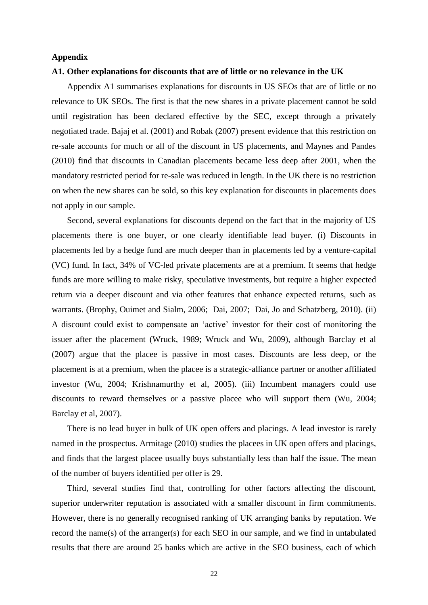### **Appendix**

#### **A1. Other explanations for discounts that are of little or no relevance in the UK**

Appendix A1 summarises explanations for discounts in US SEOs that are of little or no relevance to UK SEOs. The first is that the new shares in a private placement cannot be sold until registration has been declared effective by the SEC, except through a privately negotiated trade. Bajaj et al. (2001) and Robak (2007) present evidence that this restriction on re-sale accounts for much or all of the discount in US placements, and Maynes and Pandes (2010) find that discounts in Canadian placements became less deep after 2001, when the mandatory restricted period for re-sale was reduced in length. In the UK there is no restriction on when the new shares can be sold, so this key explanation for discounts in placements does not apply in our sample.

Second, several explanations for discounts depend on the fact that in the majority of US placements there is one buyer, or one clearly identifiable lead buyer. (i) Discounts in placements led by a hedge fund are much deeper than in placements led by a venture-capital (VC) fund. In fact, 34% of VC-led private placements are at a premium. It seems that hedge funds are more willing to make risky, speculative investments, but require a higher expected return via a deeper discount and via other features that enhance expected returns, such as warrants. (Brophy, Ouimet and Sialm, 2006; Dai, 2007; Dai, Jo and Schatzberg, 2010). (ii) A discount could exist to compensate an 'active' investor for their cost of monitoring the issuer after the placement (Wruck, 1989; Wruck and Wu, 2009), although Barclay et al (2007) argue that the placee is passive in most cases. Discounts are less deep, or the placement is at a premium, when the placee is a strategic-alliance partner or another affiliated investor (Wu, 2004; Krishnamurthy et al, 2005). (iii) Incumbent managers could use discounts to reward themselves or a passive placee who will support them (Wu, 2004; Barclay et al, 2007).

There is no lead buyer in bulk of UK open offers and placings. A lead investor is rarely named in the prospectus. Armitage (2010) studies the placees in UK open offers and placings, and finds that the largest placee usually buys substantially less than half the issue. The mean of the number of buyers identified per offer is 29.

Third, several studies find that, controlling for other factors affecting the discount, superior underwriter reputation is associated with a smaller discount in firm commitments. However, there is no generally recognised ranking of UK arranging banks by reputation. We record the name(s) of the arranger(s) for each SEO in our sample, and we find in untabulated results that there are around 25 banks which are active in the SEO business, each of which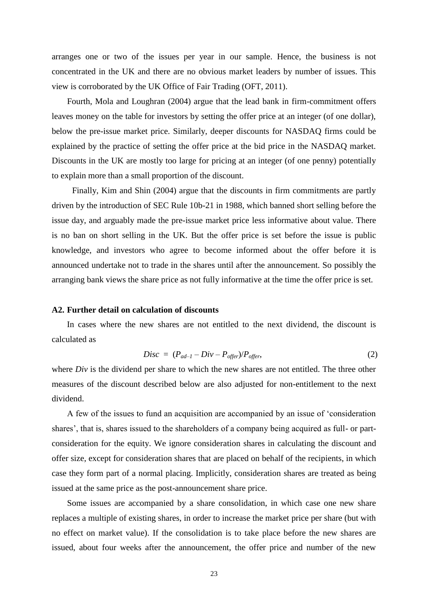arranges one or two of the issues per year in our sample. Hence, the business is not concentrated in the UK and there are no obvious market leaders by number of issues. This view is corroborated by the UK Office of Fair Trading (OFT, 2011).

Fourth, Mola and Loughran (2004) argue that the lead bank in firm-commitment offers leaves money on the table for investors by setting the offer price at an integer (of one dollar), below the pre-issue market price. Similarly, deeper discounts for NASDAQ firms could be explained by the practice of setting the offer price at the bid price in the NASDAQ market. Discounts in the UK are mostly too large for pricing at an integer (of one penny) potentially to explain more than a small proportion of the discount.

Finally, Kim and Shin (2004) argue that the discounts in firm commitments are partly driven by the introduction of SEC Rule 10b-21 in 1988, which banned short selling before the issue day, and arguably made the pre-issue market price less informative about value. There is no ban on short selling in the UK. But the offer price is set before the issue is public knowledge, and investors who agree to become informed about the offer before it is announced undertake not to trade in the shares until after the announcement. So possibly the arranging bank views the share price as not fully informative at the time the offer price is set.

### **A2. Further detail on calculation of discounts**

In cases where the new shares are not entitled to the next dividend, the discount is calculated as

$$
Disc = (P_{ad-1} - Div - P_{offer})/P_{offer}, \qquad (2)
$$

where *Div* is the dividend per share to which the new shares are not entitled. The three other measures of the discount described below are also adjusted for non-entitlement to the next dividend.

A few of the issues to fund an acquisition are accompanied by an issue of 'consideration shares', that is, shares issued to the shareholders of a company being acquired as full- or partconsideration for the equity. We ignore consideration shares in calculating the discount and offer size, except for consideration shares that are placed on behalf of the recipients, in which case they form part of a normal placing. Implicitly, consideration shares are treated as being issued at the same price as the post-announcement share price.

Some issues are accompanied by a share consolidation, in which case one new share replaces a multiple of existing shares, in order to increase the market price per share (but with no effect on market value). If the consolidation is to take place before the new shares are issued, about four weeks after the announcement, the offer price and number of the new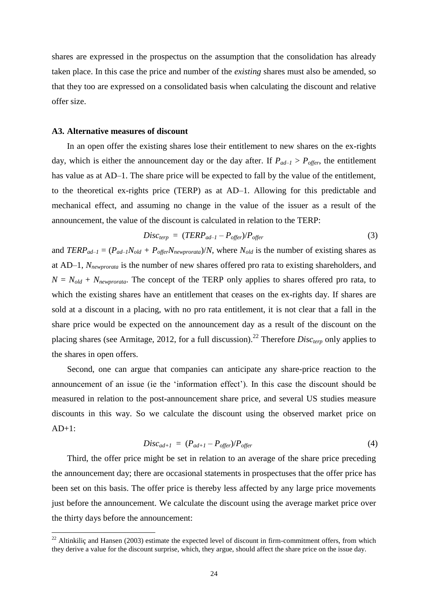shares are expressed in the prospectus on the assumption that the consolidation has already taken place. In this case the price and number of the *existing* shares must also be amended, so that they too are expressed on a consolidated basis when calculating the discount and relative offer size.

#### **A3. Alternative measures of discount**

1

In an open offer the existing shares lose their entitlement to new shares on the ex-rights day, which is either the announcement day or the day after. If  $P_{ad-1} > P_{offer}$ , the entitlement has value as at AD–1. The share price will be expected to fall by the value of the entitlement, to the theoretical ex-rights price (TERP) as at AD–1. Allowing for this predictable and mechanical effect, and assuming no change in the value of the issuer as a result of the announcement, the value of the discount is calculated in relation to the TERP:

$$
Disc_{terp} = (TERP_{ad-1} - P_{offer})/P_{offer}
$$
\n(3)

and  $TERP_{ad-1} = (P_{ad-1}N_{old} + P_{offer}N_{newprovated})/N$ , where  $N_{old}$  is the number of existing shares as at AD–1, *Nnewprorata* is the number of new shares offered pro rata to existing shareholders, and  $N = N_{old} + N_{newprocata}$ . The concept of the TERP only applies to shares offered pro rata, to which the existing shares have an entitlement that ceases on the ex-rights day. If shares are sold at a discount in a placing, with no pro rata entitlement, it is not clear that a fall in the share price would be expected on the announcement day as a result of the discount on the placing shares (see Armitage, 2012, for a full discussion).<sup>22</sup> Therefore *Disc<sub>terp</sub>* only applies to the shares in open offers.

Second, one can argue that companies can anticipate any share-price reaction to the announcement of an issue (ie the 'information effect'). In this case the discount should be measured in relation to the post-announcement share price, and several US studies measure discounts in this way. So we calculate the discount using the observed market price on  $AD+1$ :

$$
Disc_{ad+1} = (P_{ad+1} - P_{offer})/P_{offer}
$$
\n
$$
(4)
$$

Third, the offer price might be set in relation to an average of the share price preceding the announcement day; there are occasional statements in prospectuses that the offer price has been set on this basis. The offer price is thereby less affected by any large price movements just before the announcement. We calculate the discount using the average market price over the thirty days before the announcement:

 $^{22}$  Altinkiliç and Hansen (2003) estimate the expected level of discount in firm-commitment offers, from which they derive a value for the discount surprise, which, they argue, should affect the share price on the issue day.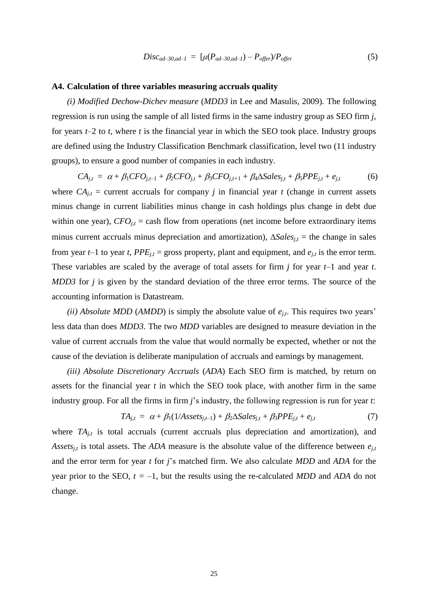$$
Disc_{ad-30,ad-1} = [\mu(P_{ad-30,ad-1}) - P_{offer} / P_{offer} \tag{5}
$$

#### **A4. Calculation of three variables measuring accruals quality**

*(i) Modified Dechow-Dichev measure* (*MDD3* in Lee and Masulis, 2009)*.* The following regression is run using the sample of all listed firms in the same industry group as SEO firm *j*, for years *t*–2 to *t*, where *t* is the financial year in which the SEO took place. Industry groups are defined using the Industry Classification Benchmark classification, level two (11 industry groups), to ensure a good number of companies in each industry.

 $CA_{j,t} = \alpha + \beta_1 CFO_{j,t-1} + \beta_2 CFO_{j,t} + \beta_3 CFO_{j,t+1} + \beta_4 \Delta Sales_{j,t} + \beta_5 PPE_{j,t} + e_{j,t}$  (6) where  $CA_{j,t}$  = current accruals for company *j* in financial year *t* (change in current assets minus change in current liabilities minus change in cash holdings plus change in debt due within one year),  $CFO_{j,t}$  = cash flow from operations (net income before extraordinary items minus current accruals minus depreciation and amortization),  $\Delta Sales_{j,t}$  = the change in sales from year *t*–1 to year *t*, *PPE*<sub>*j,t*</sub> = gross property, plant and equipment, and  $e_{j,t}$  is the error term. These variables are scaled by the average of total assets for firm *j* for year *t*–1 and year *t*. *MDD3* for *j* is given by the standard deviation of the three error terms. The source of the

accounting information is Datastream.

*(ii) Absolute MDD* (*AMDD*) is simply the absolute value of *ej,t*. This requires two years' less data than does *MDD3*. The two *MDD* variables are designed to measure deviation in the value of current accruals from the value that would normally be expected, whether or not the cause of the deviation is deliberate manipulation of accruals and earnings by management.

*(iii) Absolute Discretionary Accruals* (*ADA*) Each SEO firm is matched, by return on assets for the financial year *t* in which the SEO took place, with another firm in the same industry group. For all the firms in firm *j*'s industry, the following regression is run for year *t*:

$$
TA_{j,t} = \alpha + \beta_1(1/Assets_{j,t-1}) + \beta_2 \Delta Sales_{j,t} + \beta_3 PPE_{j,t} + e_{j,t}
$$
 (7)

where *TA*<sub>*j*,t</sub> is total accruals (current accruals plus depreciation and amortization), and *Assets<sub>it</sub>* is total assets. The *ADA* measure is the absolute value of the difference between  $e_{i,t}$ and the error term for year *t* for *j*'s matched firm. We also calculate *MDD* and *ADA* for the year prior to the SEO,  $t = -1$ , but the results using the re-calculated *MDD* and *ADA* do not change.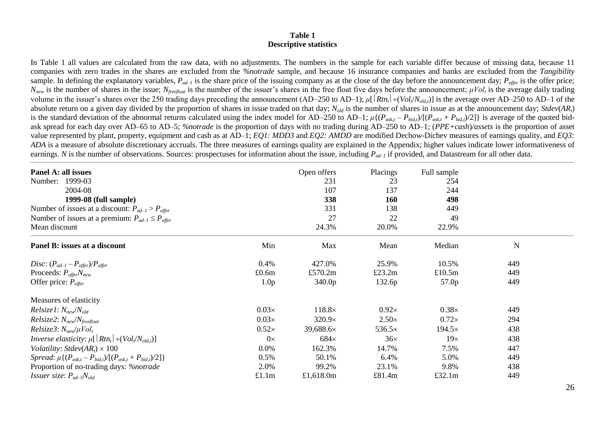#### **Table 1 Descriptive statistics**

In Table 1 all values are calculated from the raw data, with no adjustments. The numbers in the sample for each variable differ because of missing data, because 11 companies with zero trades in the shares are excluded from the *%notrade* sample, and because 16 insurance companies and banks are excluded from the *Tangibility* sample. In defining the explanatory variables,  $P_{ad-1}$  is the share price of the issuing company as at the close of the day before the announcement day;  $P_{offer}$  is the offer price;  $N_{new}$  is the number of shares in the issue;  $N_{freeflost}$  is the number of the issuer's shares in the free float five days before the announcement;  $\mu Vol_t$  is the average daily trading volume in the issuer's shares over the 250 trading days preceding the announcement  $(AD-250$  to  $AD-1)$ ;  $\mu[|Rtn_t| \div (Vol_t/N_{old,t})]$  is the average over  $AD-250$  to  $AD-1$  of the absolute return on a given day divided by the proportion of shares in issue traded on that day;  $N_{old}$  is the number of shares in issue as at the announcement day; *Stdev*(*AR*<sub>*t*</sub>) is the standard deviation of the abnormal returns calculated using the index model for AD-250 to AD-1;  $\mu\{(P_{est}, -P_{bid})/[(P_{est}, +P_{bid})/2]\}$  is average of the quoted bidask spread for each day over AD–65 to AD–5; *%notrade* is the proportion of days with no trading during AD–250 to AD–1; (*PPE+cash*)*/assets* is the proportion of asset value represented by plant, property, equipment and cash as at AD–1; *EQ1: MDD3* and *EQ2: AMDD* are modified Dechow-Dichev measures of earnings quality, and *EQ3: ADA* is a measure of absolute discretionary accruals. The three measures of earnings quality are explained in the Appendix; higher values indicate lower informativeness of earnings. *N* is the number of observations. Sources: prospectuses for information about the issue, including  $P_{ad-1}$  if provided, and Datastream for all other data.

\_\_\_\_\_\_\_\_\_\_\_\_\_\_\_\_\_\_\_\_\_\_\_\_\_\_\_\_\_\_\_\_\_\_\_\_\_\_\_\_\_\_\_\_\_\_\_\_\_\_\_\_\_\_\_\_\_\_\_\_\_\_\_\_\_\_\_\_\_\_\_\_\_\_\_\_\_\_\_\_\_\_\_\_\_\_\_\_\_\_\_\_\_\_\_\_\_\_\_\_\_\_\_\_\_\_\_\_\_\_\_\_\_\_\_\_\_\_\_\_\_\_\_\_\_\_\_\_\_\_\_\_\_\_\_\_\_\_\_\_\_\_\_\_\_\_\_\_\_\_\_\_\_\_\_\_\_\_\_\_\_\_\_\_\_\_\_\_\_\_\_\_\_\_\_\_\_\_\_\_\_\_\_\_\_\_\_\_\_\_\_\_\_\_\_\_\_\_\_\_\_\_\_\_\_\_\_\_\_\_\_\_\_\_\_\_

| Panel A: all issues<br>Number: 1999-03<br>2004-08<br>1999-08 (full sample)<br>Number of issues at a discount: $P_{ad-1} > P_{offer}$<br>Number of issues at a premium: $P_{ad-1} \leq P_{offer}$<br>Mean discount |                  | Open offers<br>231<br>107<br>338<br>331<br>27<br>24.3% | Placings<br>23<br>137<br>160<br>138<br>22<br>20.0% | Full sample<br>254<br>244<br>498<br>449<br>49<br>22.9% |     |  |
|-------------------------------------------------------------------------------------------------------------------------------------------------------------------------------------------------------------------|------------------|--------------------------------------------------------|----------------------------------------------------|--------------------------------------------------------|-----|--|
| Panel B: issues at a discount                                                                                                                                                                                     | Min              | Max                                                    | Mean                                               | Median                                                 | N   |  |
| Disc: $(P_{ad-1} - P_{offer})/P_{offer}$                                                                                                                                                                          | 0.4%             | 427.0%                                                 | 25.9%                                              | 10.5%                                                  | 449 |  |
| Proceeds: $P_{offer}N_{new}$                                                                                                                                                                                      | £0.6m            | £570.2m                                                | £23.2m                                             | £10.5m                                                 | 449 |  |
| Offer price: $P_{\text{offer}}$                                                                                                                                                                                   | 1.0 <sub>p</sub> | 340.0 <sub>p</sub>                                     | 132.6p                                             | 57.0p                                                  | 449 |  |
| Measures of elasticity                                                                                                                                                                                            |                  |                                                        |                                                    |                                                        |     |  |
| $Relsize1: N_{new}/N_{old}$                                                                                                                                                                                       | $0.03\times$     | $118.8\times$                                          | $0.92\times$                                       | $0.38\times$                                           | 449 |  |
| $Relsize2: Nnew/Nfreefloat$                                                                                                                                                                                       | $0.03\times$     | $320.9\times$                                          | $2.50\times$                                       | $0.72\times$                                           | 294 |  |
| $Relsize3: N_{new}/\mu Vol_t$                                                                                                                                                                                     | $0.52\times$     | 39,688.6×                                              | $536.5\times$                                      | $194.5\times$                                          | 438 |  |
| <i>Inverse elasticity:</i> $\mu[ Rtn_t  \div (Vol_t/N_{old,t})]$                                                                                                                                                  | $0\times$        | $684\times$                                            | 36x                                                | 19x                                                    | 438 |  |
| Volatility: $Stdev(ARt) \times 100$                                                                                                                                                                               | $0.0\%$          | 162.3%                                                 | 14.7%                                              | 7.5%                                                   | 447 |  |
| <i>Spread:</i> $\mu\{(P_{ask,t} - P_{bid,t})/[(P_{ask,t} + P_{bid,t})/2]\}$                                                                                                                                       | 0.5%             | 50.1%                                                  | 6.4%                                               | 5.0%                                                   | 449 |  |
| Proportion of no-trading days: <i>%notrade</i>                                                                                                                                                                    | 2.0%             | 99.2%                                                  | 23.1%                                              | 9.8%                                                   | 438 |  |
| <i>Issuer size:</i> $P_{ad-5}N_{old}$                                                                                                                                                                             | £1.1m            | £1,618.0m                                              | £81.4m                                             | £32.1 $m$                                              | 449 |  |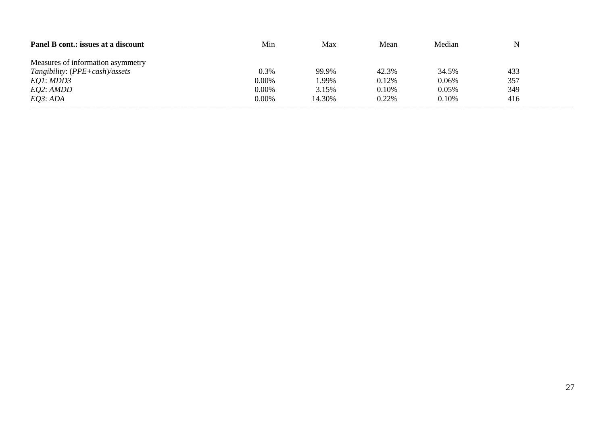| Panel B cont.: issues at a discount | Min   | Max    | Mean  | Median |     |  |
|-------------------------------------|-------|--------|-------|--------|-----|--|
| Measures of information asymmetry   |       |        |       |        |     |  |
| Tangibility: $(PPE + cash)$ /assets | 0.3%  | 99.9%  | 42.3% | 34.5%  | 433 |  |
| EQ1: MDD3                           | 0.00% | 1.99%  | 0.12% | 0.06%  | 357 |  |
| <i>EQ2: AMDD</i>                    | 0.00% | 3.15%  | 0.10% | 0.05%  | 349 |  |
| EO3:ADA                             | 0.00% | 14.30% | 0.22% | 0.10%  | 416 |  |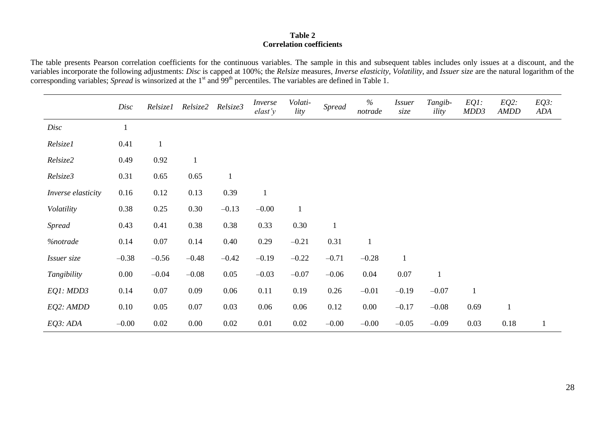## **Table 2 Correlation coefficients**

The table presents Pearson correlation coefficients for the continuous variables. The sample in this and subsequent tables includes only issues at a discount, and the variables incorporate the following adjustments: *Disc* is capped at 100%; the *Relsize* measures*, Inverse elasticity, Volatility*, and *Issuer size* are the natural logarithm of the corresponding variables; *Spread* is winsorized at the 1<sup>st</sup> and 99<sup>th</sup> percentiles. The variables are defined in Table 1.

|                    | Disc     | <i>Relsize1</i> | Relsize2     | Relsize3     | Inverse<br>elast'y | Volati-<br>lity | <b>Spread</b> | $\%$<br>notrade | <i>Issuer</i><br>size | Tangib-<br>ility | $EQ1$ :<br>MDD3 | $EQ2$ :<br><b>AMDD</b> | $EQ3$ :<br>ADA |
|--------------------|----------|-----------------|--------------|--------------|--------------------|-----------------|---------------|-----------------|-----------------------|------------------|-----------------|------------------------|----------------|
| Disc               |          |                 |              |              |                    |                 |               |                 |                       |                  |                 |                        |                |
| Relsize1           | 0.41     | $\mathbf{1}$    |              |              |                    |                 |               |                 |                       |                  |                 |                        |                |
| Relsize2           | 0.49     | 0.92            | $\mathbf{1}$ |              |                    |                 |               |                 |                       |                  |                 |                        |                |
| Relsize3           | 0.31     | 0.65            | 0.65         | $\mathbf{1}$ |                    |                 |               |                 |                       |                  |                 |                        |                |
| Inverse elasticity | 0.16     | 0.12            | 0.13         | 0.39         | $\mathbf{1}$       |                 |               |                 |                       |                  |                 |                        |                |
| Volatility         | 0.38     | 0.25            | 0.30         | $-0.13$      | $-0.00$            | $\mathbf{1}$    |               |                 |                       |                  |                 |                        |                |
| <b>Spread</b>      | 0.43     | 0.41            | 0.38         | 0.38         | 0.33               | 0.30            |               |                 |                       |                  |                 |                        |                |
| <i>%notrade</i>    | 0.14     | 0.07            | 0.14         | 0.40         | 0.29               | $-0.21$         | 0.31          | $\mathbf{1}$    |                       |                  |                 |                        |                |
| Issuer size        | $-0.38$  | $-0.56$         | $-0.48$      | $-0.42$      | $-0.19$            | $-0.22$         | $-0.71$       | $-0.28$         | $\mathbf{1}$          |                  |                 |                        |                |
| Tangibility        | $0.00\,$ | $-0.04$         | $-0.08$      | 0.05         | $-0.03$            | $-0.07$         | $-0.06$       | 0.04            | $0.07\,$              | $\mathbf{1}$     |                 |                        |                |
| EQ1: MDD3          | 0.14     | 0.07            | 0.09         | 0.06         | 0.11               | 0.19            | 0.26          | $-0.01$         | $-0.19$               | $-0.07$          | $\mathbf{1}$    |                        |                |
| EQ2: AMDD          | 0.10     | 0.05            | 0.07         | 0.03         | 0.06               | 0.06            | 0.12          | 0.00            | $-0.17$               | $-0.08$          | 0.69            | $\mathbf{1}$           |                |
| EQ3:ADA            | $-0.00$  | 0.02            | $0.00\,$     | 0.02         | 0.01               | 0.02            | $-0.00$       | $-0.00$         | $-0.05$               | $-0.09$          | 0.03            | 0.18                   |                |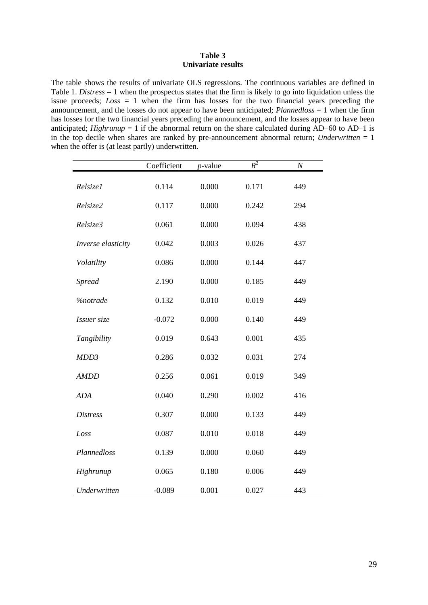#### **Table 3 Univariate results**

The table shows the results of univariate OLS regressions. The continuous variables are defined in Table 1. *Distress* = 1 when the prospectus states that the firm is likely to go into liquidation unless the issue proceeds;  $Loss = 1$  when the firm has losses for the two financial years preceding the announcement, and the losses do not appear to have been anticipated; *Plannedloss* = 1 when the firm has losses for the two financial years preceding the announcement, and the losses appear to have been anticipated; *Highrunup* = 1 if the abnormal return on the share calculated during  $AD-60$  to  $AD-1$  is in the top decile when shares are ranked by pre-announcement abnormal return; *Underwritten* = 1 when the offer is (at least partly) underwritten.

|                    | Coefficient | <i>p</i> -value | $R^2$ | $\cal N$ |
|--------------------|-------------|-----------------|-------|----------|
| Relsize1           | 0.114       | 0.000           | 0.171 | 449      |
| Relsize2           | 0.117       | 0.000           | 0.242 | 294      |
| Relsize3           | 0.061       | 0.000           | 0.094 | 438      |
| Inverse elasticity | 0.042       | 0.003           | 0.026 | 437      |
| Volatility         | 0.086       | 0.000           | 0.144 | 447      |
| <b>Spread</b>      | 2.190       | 0.000           | 0.185 | 449      |
| %notrade           | 0.132       | 0.010           | 0.019 | 449      |
| Issuer size        | $-0.072$    | 0.000           | 0.140 | 449      |
| Tangibility        | 0.019       | 0.643           | 0.001 | 435      |
| MDD3               | 0.286       | 0.032           | 0.031 | 274      |
| <b>AMDD</b>        | 0.256       | 0.061           | 0.019 | 349      |
| <b>ADA</b>         | 0.040       | 0.290           | 0.002 | 416      |
| <b>Distress</b>    | 0.307       | 0.000           | 0.133 | 449      |
| Loss               | 0.087       | 0.010           | 0.018 | 449      |
| Plannedloss        | 0.139       | 0.000           | 0.060 | 449      |
| Highrunup          | 0.065       | 0.180           | 0.006 | 449      |
| Underwritten       | $-0.089$    | 0.001           | 0.027 | 443      |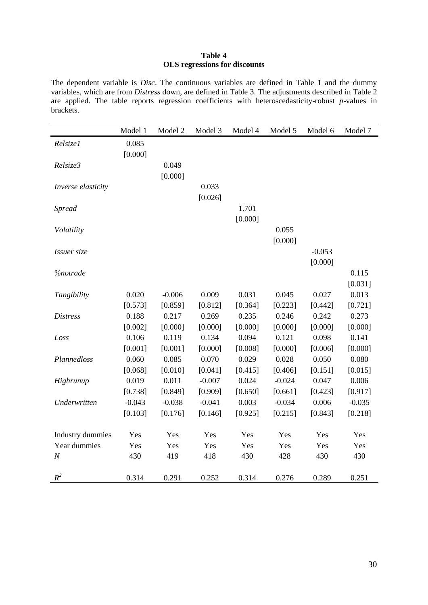## **Table 4 OLS regressions for discounts**

The dependent variable is *Disc*. The continuous variables are defined in Table 1 and the dummy variables, which are from *Distress* down, are defined in Table 3. The adjustments described in Table 2 are applied. The table reports regression coefficients with heteroscedasticity-robust *p*-values in brackets.

|                         | Model 1  | Model 2  | Model 3  | Model 4 | Model 5  | Model 6  | Model 7  |
|-------------------------|----------|----------|----------|---------|----------|----------|----------|
| Relsize1                | 0.085    |          |          |         |          |          |          |
|                         | [0.000]  |          |          |         |          |          |          |
| Relsize3                |          | 0.049    |          |         |          |          |          |
|                         |          | [0.000]  |          |         |          |          |          |
| Inverse elasticity      |          |          | 0.033    |         |          |          |          |
|                         |          |          | [0.026]  |         |          |          |          |
| <b>Spread</b>           |          |          |          | 1.701   |          |          |          |
|                         |          |          |          | [0.000] |          |          |          |
| Volatility              |          |          |          |         | 0.055    |          |          |
|                         |          |          |          |         | [0.000]  |          |          |
| Issuer size             |          |          |          |         |          | $-0.053$ |          |
|                         |          |          |          |         |          | [0.000]  |          |
| <b>%notrade</b>         |          |          |          |         |          |          | 0.115    |
|                         |          |          |          |         |          |          | [0.031]  |
| Tangibility             | 0.020    | $-0.006$ | 0.009    | 0.031   | 0.045    | 0.027    | 0.013    |
|                         | [0.573]  | [0.859]  | [0.812]  | [0.364] | [0.223]  | [0.442]  | [0.721]  |
| <b>Distress</b>         | 0.188    | 0.217    | 0.269    | 0.235   | 0.246    | 0.242    | 0.273    |
|                         | [0.002]  | [0.000]  | [0.000]  | [0.000] | [0.000]  | [0.000]  | [0.000]  |
| Loss                    | 0.106    | 0.119    | 0.134    | 0.094   | 0.121    | 0.098    | 0.141    |
|                         | [0.001]  | [0.001]  | [0.000]  | [0.008] | [0.000]  | [0.006]  | [0.000]  |
| Plannedloss             | 0.060    | 0.085    | 0.070    | 0.029   | 0.028    | 0.050    | 0.080    |
|                         | [0.068]  | [0.010]  | [0.041]  | [0.415] | [0.406]  | [0.151]  | [0.015]  |
| Highrunup               | 0.019    | 0.011    | $-0.007$ | 0.024   | $-0.024$ | 0.047    | 0.006    |
|                         | [0.738]  | [0.849]  | [0.909]  | [0.650] | [0.661]  | [0.423]  | [0.917]  |
| Underwritten            | $-0.043$ | $-0.038$ | $-0.041$ | 0.003   | $-0.034$ | 0.006    | $-0.035$ |
|                         | [0.103]  | [0.176]  | [0.146]  | [0.925] | [0.215]  | [0.843]  | [0.218]  |
|                         |          |          |          |         |          |          |          |
| <b>Industry dummies</b> | Yes      | Yes      | Yes      | Yes     | Yes      | Yes      | Yes      |
| Year dummies            | Yes      | Yes      | Yes      | Yes     | Yes      | Yes      | Yes      |
| $\cal N$                | 430      | 419      | 418      | 430     | 428      | 430      | 430      |
| $R^2$                   | 0.314    | 0.291    | 0.252    | 0.314   | 0.276    | 0.289    | 0.251    |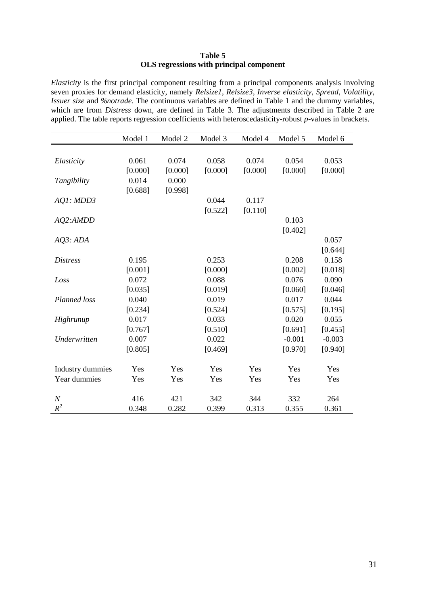## **Table 5 OLS regressions with principal component**

*Elasticity* is the first principal component resulting from a principal components analysis involving seven proxies for demand elasticity, namely *Relsize1*, *Relsize3*, *Inverse elasticity*, *Spread*, *Volatility*, *Issuer size* and *%notrade*. The continuous variables are defined in Table 1 and the dummy variables, which are from *Distress* down, are defined in Table 3. The adjustments described in Table 2 are applied. The table reports regression coefficients with heteroscedasticity-robust *p*-values in brackets.

|                  | Model 1 | Model 2 | Model 3 | Model 4 | Model 5  | Model 6  |
|------------------|---------|---------|---------|---------|----------|----------|
|                  |         |         |         |         |          |          |
| Elasticity       | 0.061   | 0.074   | 0.058   | 0.074   | 0.054    | 0.053    |
|                  | [0.000] | [0.000] | [0.000] | [0.000] | [0.000]  | [0.000]  |
| Tangibility      | 0.014   | 0.000   |         |         |          |          |
|                  | [0.688] | [0.998] |         |         |          |          |
| AQ1: MDD3        |         |         | 0.044   | 0.117   |          |          |
|                  |         |         | [0.522] | [0.110] |          |          |
| AQ2:AMDD         |         |         |         |         | 0.103    |          |
|                  |         |         |         |         | [0.402]  |          |
| AQ3:ADA          |         |         |         |         |          | 0.057    |
|                  |         |         |         |         |          | [0.644]  |
| <b>Distress</b>  | 0.195   |         | 0.253   |         | 0.208    | 0.158    |
|                  | [0.001] |         | [0.000] |         | [0.002]  | [0.018]  |
| Loss             | 0.072   |         | 0.088   |         | 0.076    | 0.090    |
|                  | [0.035] |         | [0.019] |         | [0.060]  | [0.046]  |
| Planned loss     | 0.040   |         | 0.019   |         | 0.017    | 0.044    |
|                  | [0.234] |         | [0.524] |         | [0.575]  | [0.195]  |
| Highrunup        | 0.017   |         | 0.033   |         | 0.020    | 0.055    |
|                  | [0.767] |         | [0.510] |         | [0.691]  | [0.455]  |
| Underwritten     | 0.007   |         | 0.022   |         | $-0.001$ | $-0.003$ |
|                  | [0.805] |         | [0.469] |         | [0.970]  | [0.940]  |
| Industry dummies | Yes     | Yes     | Yes     | Yes     | Yes      | Yes      |
| Year dummies     | Yes     | Yes     | Yes     | Yes     | Yes      | Yes      |
| $\boldsymbol{N}$ | 416     | 421     | 342     | 344     | 332      | 264      |
| $R^2$            | 0.348   | 0.282   | 0.399   | 0.313   | 0.355    | 0.361    |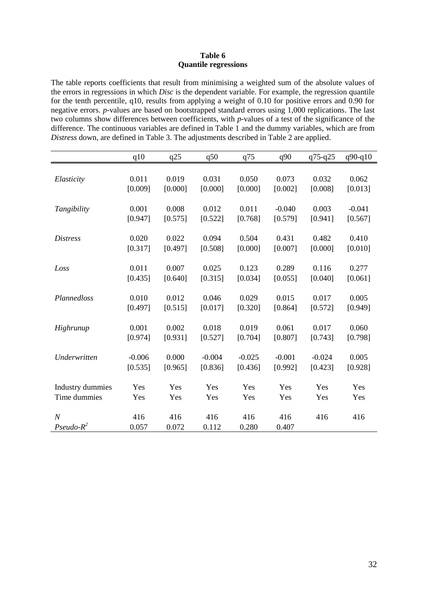### **Table 6 Quantile regressions**

The table reports coefficients that result from minimising a weighted sum of the absolute values of the errors in regressions in which *Disc* is the dependent variable. For example, the regression quantile for the tenth percentile, q10, results from applying a weight of 0.10 for positive errors and 0.90 for negative errors. *p*-values are based on bootstrapped standard errors using 1,000 replications. The last two columns show differences between coefficients, with *p*-values of a test of the significance of the difference. The continuous variables are defined in Table 1 and the dummy variables, which are from *Distress* down, are defined in Table 3. The adjustments described in Table 2 are applied.

|                         | q10      | q25     | q50      | q75      | q90      | q75-q25  | $q90-q10$ |
|-------------------------|----------|---------|----------|----------|----------|----------|-----------|
|                         |          |         |          |          |          |          |           |
| Elasticity              | 0.011    | 0.019   | 0.031    | 0.050    | 0.073    | 0.032    | 0.062     |
|                         | [0.009]  | [0.000] | [0.000]  | [0.000]  | [0.002]  | [0.008]  | [0.013]   |
| Tangibility             | 0.001    | 0.008   | 0.012    | 0.011    | $-0.040$ | 0.003    | $-0.041$  |
|                         | [0.947]  | [0.575] | [0.522]  | [0.768]  | [0.579]  | [0.941]  | [0.567]   |
|                         |          |         |          |          |          |          |           |
| <i>Distress</i>         | 0.020    | 0.022   | 0.094    | 0.504    | 0.431    | 0.482    | 0.410     |
|                         | [0.317]  | [0.497] | [0.508]  | [0.000]  | [0.007]  | [0.000]  | [0.010]   |
| Loss                    | 0.011    | 0.007   | 0.025    | 0.123    | 0.289    | 0.116    | 0.277     |
|                         | [0.435]  | [0.640] | [0.315]  | [0.034]  | [0.055]  | [0.040]  | [0.061]   |
|                         |          |         |          |          |          |          |           |
| Plannedloss             | 0.010    | 0.012   | 0.046    | 0.029    | 0.015    | 0.017    | 0.005     |
|                         | [0.497]  | [0.515] | [0.017]  | [0.320]  | [0.864]  | [0.572]  | [0.949]   |
| Highrunup               | 0.001    | 0.002   | 0.018    | 0.019    | 0.061    | 0.017    | 0.060     |
|                         | [0.974]  | [0.931] | [0.527]  | [0.704]  | [0.807]  | [0.743]  | [0.798]   |
|                         |          |         |          |          |          |          |           |
| Underwritten            | $-0.006$ | 0.000   | $-0.004$ | $-0.025$ | $-0.001$ | $-0.024$ | 0.005     |
|                         | [0.535]  | [0.965] | [0.836]  | [0.436]  | [0.992]  | [0.423]  | [0.928]   |
| <b>Industry dummies</b> | Yes      | Yes     | Yes      | Yes      | Yes      | Yes      | Yes       |
| Time dummies            | Yes      | Yes     | Yes      | Yes      | Yes      | Yes      | Yes       |
|                         |          |         |          |          |          |          |           |
| $\boldsymbol{N}$        | 416      | 416     | 416      | 416      | 416      | 416      | 416       |
| $Pseudo-R^2$            | 0.057    | 0.072   | 0.112    | 0.280    | 0.407    |          |           |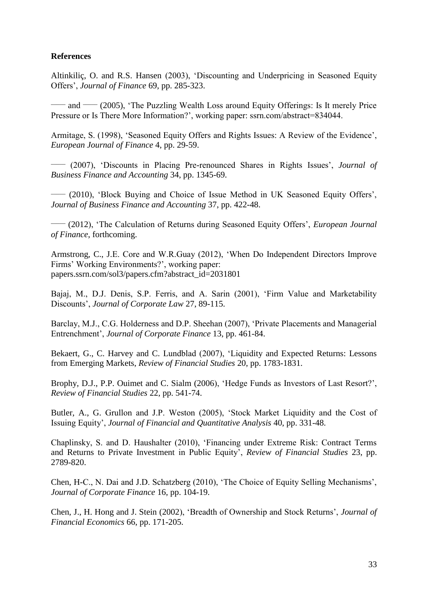# **References**

Altinkiliç, O. and R.S. Hansen (2003), 'Discounting and Underpricing in Seasoned Equity Offers', *Journal of Finance* 69, pp. 285-323.

— and — (2005), 'The Puzzling Wealth Loss around Equity Offerings: Is It merely Price Pressure or Is There More Information?', working paper: ssrn.com/abstract=834044.

Armitage, S. (1998), 'Seasoned Equity Offers and Rights Issues: A Review of the Evidence', *European Journal of Finance* 4, pp. 29-59.

\_\_\_\_\_ (2007), 'Discounts in Placing Pre-renounced Shares in Rights Issues', *Journal of Business Finance and Accounting* 34, pp. 1345-69.

\_\_\_\_\_ (2010), 'Block Buying and Choice of Issue Method in UK Seasoned Equity Offers', *Journal of Business Finance and Accounting* 37, pp. 422-48.

\_\_\_\_\_ (2012), 'The Calculation of Returns during Seasoned Equity Offers', *European Journal of Finance*, forthcoming.

Armstrong, C., J.E. Core and W.R.Guay (2012), 'When Do Independent Directors Improve Firms' Working Environments?', working paper: papers.ssrn.com/sol3/papers.cfm?abstract\_id=2031801

Bajaj, M., D.J. Denis, S.P. Ferris, and A. Sarin (2001), 'Firm Value and Marketability Discounts', *Journal of Corporate Law* 27, 89-115.

Barclay, M.J., C.G. Holderness and D.P. Sheehan (2007), 'Private Placements and Managerial Entrenchment', *Journal of Corporate Finance* 13, pp. 461-84.

Bekaert, G., C. Harvey and C. Lundblad (2007), 'Liquidity and Expected Returns: Lessons from Emerging Markets, *Review of Financial Studies* 20, pp. 1783-1831.

Brophy, D.J., P.P. Ouimet and C. Sialm (2006), 'Hedge Funds as Investors of Last Resort?', *Review of Financial Studies* 22, pp. 541-74.

Butler, A., G. Grullon and J.P. Weston (2005), 'Stock Market Liquidity and the Cost of Issuing Equity', *Journal of Financial and Quantitative Analysis* 40, pp. 331-48.

Chaplinsky, S. and D. Haushalter (2010), 'Financing under Extreme Risk: Contract Terms and Returns to Private Investment in Public Equity', *Review of Financial Studies* 23, pp. 2789-820.

Chen, H-C., N. Dai and J.D. Schatzberg (2010), 'The Choice of Equity Selling Mechanisms', *Journal of Corporate Finance* 16, pp. 104-19.

Chen, J., H. Hong and J. Stein (2002), 'Breadth of Ownership and Stock Returns', *Journal of Financial Economics* 66, pp. 171-205.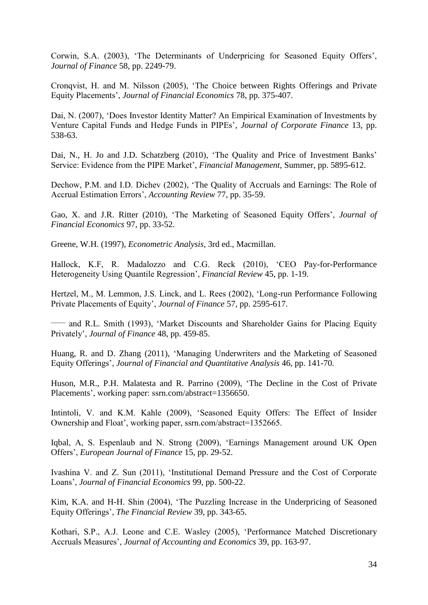Corwin, S.A. (2003), 'The Determinants of Underpricing for Seasoned Equity Offers', *Journal of Finance* 58, pp. 2249-79.

Cronqvist, H. and M. Nilsson (2005), 'The Choice between Rights Offerings and Private Equity Placements', *Journal of Financial Economics* 78, pp. 375-407.

Dai, N. (2007), 'Does Investor Identity Matter? An Empirical Examination of Investments by Venture Capital Funds and Hedge Funds in PIPEs', *Journal of Corporate Finance* 13, pp. 538-63.

Dai, N., H. Jo and J.D. Schatzberg (2010), 'The Quality and Price of Investment Banks' Service: Evidence from the PIPE Market', *Financial Management*, Summer, pp. 5895-612.

Dechow, P.M. and I.D. Dichev (2002), 'The Quality of Accruals and Earnings: The Role of Accrual Estimation Errors', *Accounting Review* 77, pp. 35-59.

Gao, X. and J.R. Ritter (2010), 'The Marketing of Seasoned Equity Offers', *Journal of Financial Economics* 97, pp. 33-52.

Greene, W.H. (1997), *Econometric Analysis*, 3rd ed., Macmillan.

Hallock, K.F, R. Madalozzo and C.G. Reck (2010), 'CEO Pay-for-Performance Heterogeneity Using Quantile Regression', *Financial Review* 45, pp. 1-19.

Hertzel, M., M. Lemmon, J.S. Linck, and L. Rees (2002), 'Long-run Performance Following Private Placements of Equity', *Journal of Finance* 57, pp. 2595-617.

— and R.L. Smith (1993), 'Market Discounts and Shareholder Gains for Placing Equity Privately', *Journal of Finance* 48, pp. 459-85.

Huang, R. and D. Zhang (2011), 'Managing Underwriters and the Marketing of Seasoned Equity Offerings', *Journal of Financial and Quantitative Analysis* 46, pp. 141-70.

Huson, M.R., P.H. Malatesta and R. Parrino (2009), 'The Decline in the Cost of Private Placements', working paper: ssrn.com/abstract=1356650.

Intintoli, V. and K.M. Kahle (2009), 'Seasoned Equity Offers: The Effect of Insider Ownership and Float', working paper, ssrn.com/abstract=1352665.

Iqbal, A, S. Espenlaub and N. Strong (2009), 'Earnings Management around UK Open Offers', *European Journal of Finance* 15, pp. 29-52.

Ivashina V. and Z. Sun (2011), 'Institutional Demand Pressure and the Cost of Corporate Loans', *Journal of Financial Economics* 99, pp. 500-22.

Kim, K.A. and H-H. Shin (2004), 'The Puzzling Increase in the Underpricing of Seasoned Equity Offerings', *The Financial Review* 39, pp. 343-65.

Kothari, S.P., A.J. Leone and C.E. Wasley (2005), 'Performance Matched Discretionary Accruals Measures', *Journal of Accounting and Economics* 39, pp. 163-97.